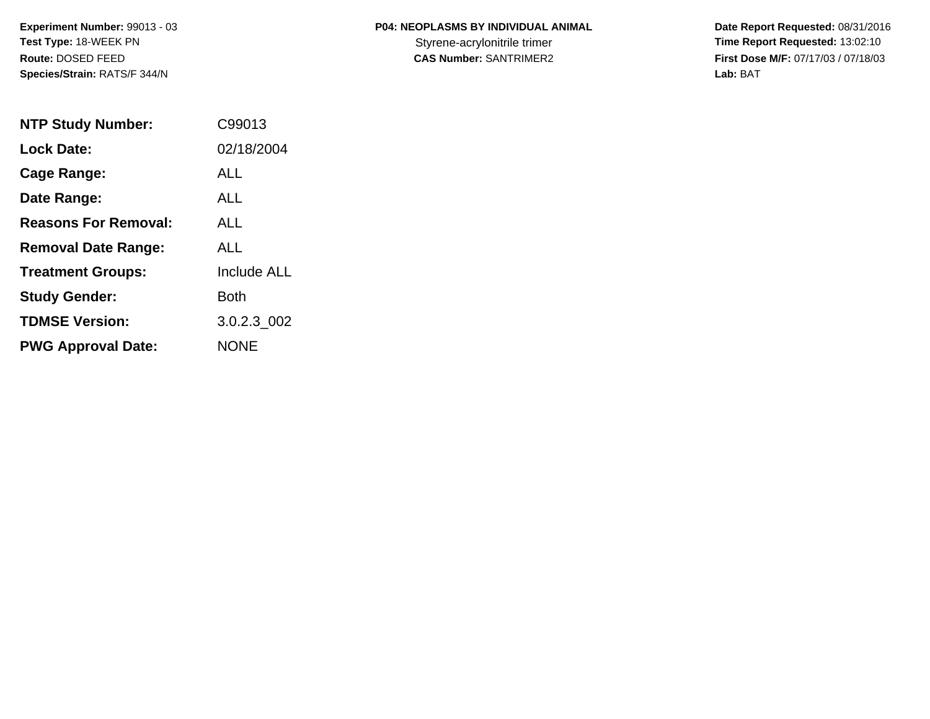**P04: NEOPLASMS BY INDIVIDUAL ANIMAL**

 **Date Report Requested:** 08/31/2016 Styrene-acrylonitrile trimer<br>
CAS Number: SANTRIMER2<br>
CAS Number: SANTRIMER2<br>
Tirst Dose M/F: 07/17/03 / 07/18/03 **First Dose M/F:** 07/17/03 / 07/18/03<br>Lab: BAT **Lab:** BAT

| <b>NTP Study Number:</b>    | C99013             |
|-----------------------------|--------------------|
| Lock Date:                  | 02/18/2004         |
| Cage Range:                 | ALL                |
| Date Range:                 | AI I               |
| <b>Reasons For Removal:</b> | AI I               |
| <b>Removal Date Range:</b>  | ALL                |
| <b>Treatment Groups:</b>    | <b>Include ALL</b> |
| <b>Study Gender:</b>        | Both               |
| <b>TDMSE Version:</b>       | 3.0.2.3 002        |
| <b>PWG Approval Date:</b>   | <b>NONE</b>        |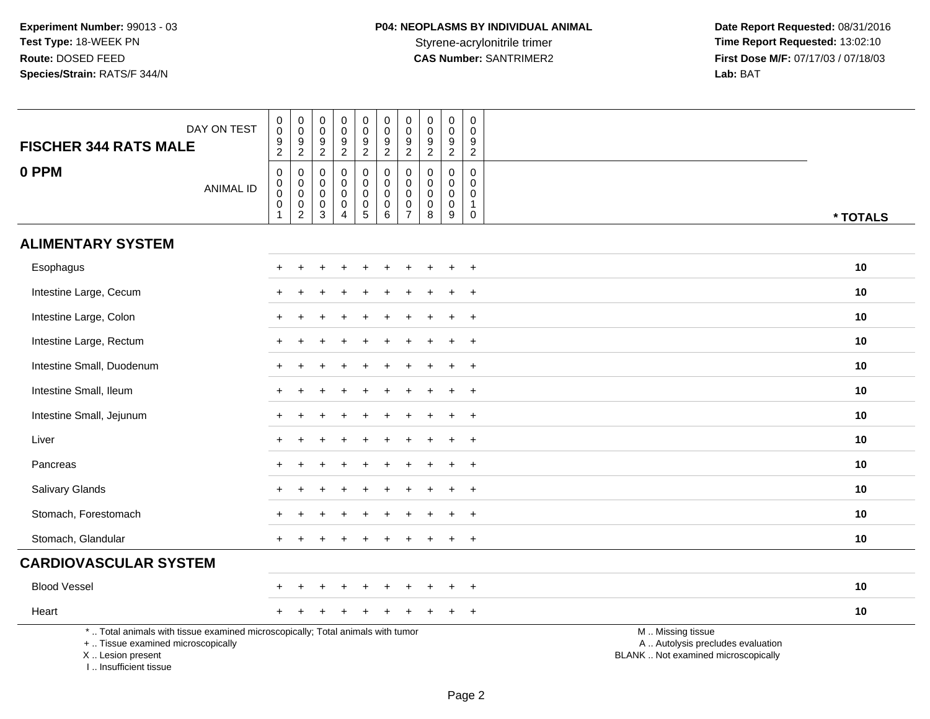| DAY ON TEST<br><b>FISCHER 344 RATS MALE</b>                                                                                                                          | $\pmb{0}$<br>$\mathbf 0$<br>$\frac{9}{2}$                      | $\pmb{0}$<br>$\pmb{0}$<br>$\frac{9}{2}$                         | $\pmb{0}$<br>$\mathbf 0$<br>$\boldsymbol{9}$<br>$\overline{2}$          | $\pmb{0}$<br>$\pmb{0}$<br>9<br>$\boldsymbol{2}$                          | $\mathbf 0$<br>$_{9}^{\rm 0}$<br>$\overline{2}$                           | $\pmb{0}$<br>$\mathbf 0$<br>$\frac{9}{2}$                                              | $\pmb{0}$<br>$\mathbf 0$<br>$\boldsymbol{9}$<br>$\overline{2}$                | $\boldsymbol{0}$<br>$\mathbf 0$<br>9<br>$\overline{2}$ | $\pmb{0}$<br>$\mathbf 0$<br>$\boldsymbol{9}$<br>$\overline{2}$             | $\pmb{0}$<br>$\mathbf 0$<br>9<br>$\overline{2}$     |                                                                                               |
|----------------------------------------------------------------------------------------------------------------------------------------------------------------------|----------------------------------------------------------------|-----------------------------------------------------------------|-------------------------------------------------------------------------|--------------------------------------------------------------------------|---------------------------------------------------------------------------|----------------------------------------------------------------------------------------|-------------------------------------------------------------------------------|--------------------------------------------------------|----------------------------------------------------------------------------|-----------------------------------------------------|-----------------------------------------------------------------------------------------------|
| 0 PPM<br><b>ANIMAL ID</b>                                                                                                                                            | $\mathbf 0$<br>$\mathbf 0$<br>$\mathbf 0$<br>0<br>$\mathbf{1}$ | $\pmb{0}$<br>$\overline{0}$<br>$\mathop{2}\limits^{\mathbb{O}}$ | $\mathbf 0$<br>$\mathbf 0$<br>$\mathbf 0$<br>$\mathbf 0$<br>$\mathsf 3$ | $\pmb{0}$<br>$\mathbf 0$<br>$\mathbf 0$<br>$\mathbf 0$<br>$\overline{4}$ | $\mathsf{O}$<br>$\mathbf 0$<br>$\mathbf 0$<br>$\pmb{0}$<br>$\overline{5}$ | $\pmb{0}$<br>$\boldsymbol{0}$<br>$\mathsf{O}\xspace$<br>$\mathbf 0$<br>$6\overline{6}$ | $\pmb{0}$<br>$\mathbf 0$<br>$\mathbf 0$<br>$\boldsymbol{0}$<br>$\overline{7}$ | 0<br>$\mathbf 0$<br>$\mathbf 0$<br>0<br>8              | $\pmb{0}$<br>$\mathbf 0$<br>$\mathsf 0$<br>$\mathbf 0$<br>$\boldsymbol{9}$ | 0<br>$\mathbf 0$<br>$\mathbf 0$<br>1<br>$\mathsf 0$ | * TOTALS                                                                                      |
| <b>ALIMENTARY SYSTEM</b>                                                                                                                                             |                                                                |                                                                 |                                                                         |                                                                          |                                                                           |                                                                                        |                                                                               |                                                        |                                                                            |                                                     |                                                                                               |
| Esophagus                                                                                                                                                            |                                                                |                                                                 |                                                                         |                                                                          |                                                                           |                                                                                        |                                                                               |                                                        |                                                                            | $\overline{1}$                                      | 10                                                                                            |
| Intestine Large, Cecum                                                                                                                                               |                                                                |                                                                 |                                                                         |                                                                          |                                                                           |                                                                                        |                                                                               |                                                        |                                                                            | $\overline{1}$                                      | 10                                                                                            |
| Intestine Large, Colon                                                                                                                                               |                                                                |                                                                 |                                                                         |                                                                          |                                                                           |                                                                                        |                                                                               |                                                        |                                                                            | $\overline{1}$                                      | 10                                                                                            |
| Intestine Large, Rectum                                                                                                                                              |                                                                |                                                                 |                                                                         |                                                                          |                                                                           |                                                                                        |                                                                               |                                                        |                                                                            | $\ddot{}$                                           | 10                                                                                            |
| Intestine Small, Duodenum                                                                                                                                            |                                                                |                                                                 |                                                                         |                                                                          |                                                                           |                                                                                        |                                                                               |                                                        |                                                                            | $\overline{1}$                                      | 10                                                                                            |
| Intestine Small, Ileum                                                                                                                                               |                                                                |                                                                 |                                                                         |                                                                          |                                                                           |                                                                                        |                                                                               |                                                        |                                                                            | $\overline{1}$                                      | 10                                                                                            |
| Intestine Small, Jejunum                                                                                                                                             |                                                                |                                                                 |                                                                         |                                                                          |                                                                           |                                                                                        |                                                                               |                                                        |                                                                            | $+$                                                 | 10                                                                                            |
| Liver                                                                                                                                                                |                                                                |                                                                 |                                                                         |                                                                          |                                                                           |                                                                                        |                                                                               |                                                        |                                                                            | $\overline{+}$                                      | 10                                                                                            |
| Pancreas                                                                                                                                                             |                                                                |                                                                 |                                                                         |                                                                          |                                                                           |                                                                                        |                                                                               |                                                        |                                                                            | $\ddot{}$                                           | 10                                                                                            |
| Salivary Glands                                                                                                                                                      |                                                                |                                                                 |                                                                         |                                                                          |                                                                           |                                                                                        |                                                                               |                                                        |                                                                            | $^{+}$                                              | 10                                                                                            |
| Stomach, Forestomach                                                                                                                                                 |                                                                |                                                                 |                                                                         |                                                                          |                                                                           |                                                                                        |                                                                               |                                                        |                                                                            | $\overline{1}$                                      | 10                                                                                            |
| Stomach, Glandular                                                                                                                                                   |                                                                |                                                                 |                                                                         |                                                                          |                                                                           |                                                                                        |                                                                               |                                                        |                                                                            | $\ddot{}$                                           | 10                                                                                            |
| <b>CARDIOVASCULAR SYSTEM</b>                                                                                                                                         |                                                                |                                                                 |                                                                         |                                                                          |                                                                           |                                                                                        |                                                                               |                                                        |                                                                            |                                                     |                                                                                               |
| <b>Blood Vessel</b>                                                                                                                                                  |                                                                |                                                                 |                                                                         |                                                                          |                                                                           |                                                                                        |                                                                               |                                                        |                                                                            | $^{+}$                                              | 10                                                                                            |
| Heart                                                                                                                                                                |                                                                |                                                                 |                                                                         |                                                                          |                                                                           |                                                                                        |                                                                               |                                                        |                                                                            | $\overline{+}$                                      | 10                                                                                            |
| *  Total animals with tissue examined microscopically; Total animals with tumor<br>+  Tissue examined microscopically<br>X  Lesion present<br>I  Insufficient tissue |                                                                |                                                                 |                                                                         |                                                                          |                                                                           |                                                                                        |                                                                               |                                                        |                                                                            |                                                     | M  Missing tissue<br>A  Autolysis precludes evaluation<br>BLANK  Not examined microscopically |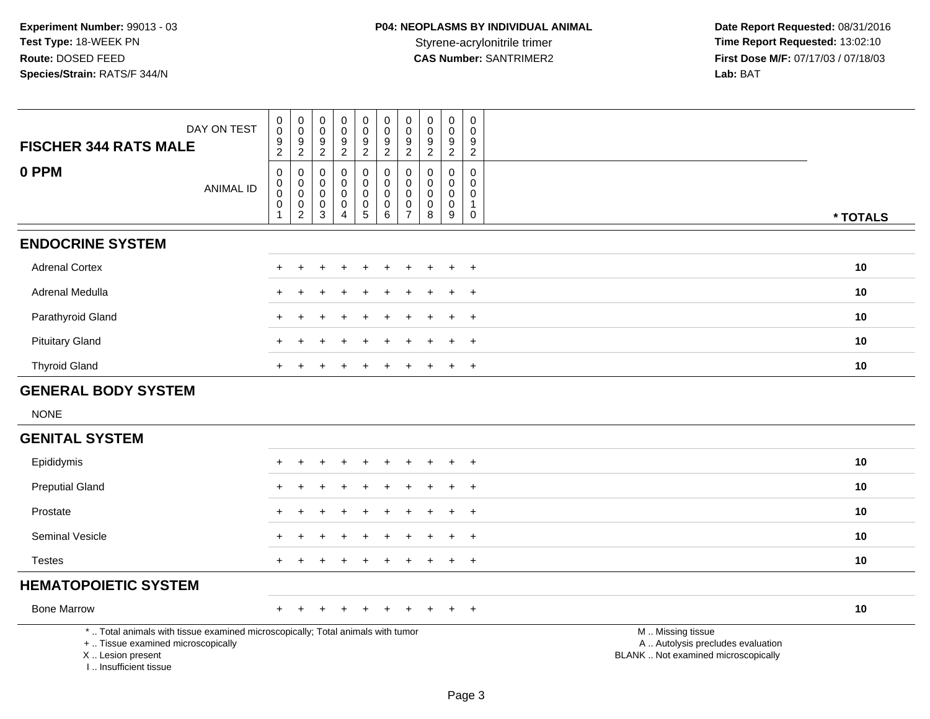| <b>FISCHER 344 RATS MALE</b>                                                                                                                                       | DAY ON TEST      | $\pmb{0}$<br>$\pmb{0}$<br>$\frac{9}{2}$                          | $_{\rm 0}^{\rm 0}$<br>$\overline{9}$                                   | $\mathbf 0$<br>$\boldsymbol{0}$<br>$\frac{9}{2}$    | $\mathbf 0$<br>$\mathbf 0$<br>$\boldsymbol{9}$                   | $\pmb{0}$<br>$\mathbf 0$<br>$\boldsymbol{9}$                   | $\pmb{0}$<br>$\mathsf{O}\xspace$<br>$\frac{9}{2}$                  | $\mathbf 0$<br>$\mathbf 0$<br>$\boldsymbol{9}$                           | $\mathbf 0$<br>0<br>9                      | $\mathbf 0$<br>$\mathbf 0$<br>$\boldsymbol{9}$      | $\mathbf 0$<br>$\mathbf 0$<br>9                                          |                                                                                               |
|--------------------------------------------------------------------------------------------------------------------------------------------------------------------|------------------|------------------------------------------------------------------|------------------------------------------------------------------------|-----------------------------------------------------|------------------------------------------------------------------|----------------------------------------------------------------|--------------------------------------------------------------------|--------------------------------------------------------------------------|--------------------------------------------|-----------------------------------------------------|--------------------------------------------------------------------------|-----------------------------------------------------------------------------------------------|
|                                                                                                                                                                    |                  |                                                                  | $\overline{2}$                                                         |                                                     | $\sqrt{2}$                                                       | $\overline{c}$                                                 |                                                                    | $\overline{a}$                                                           | $\overline{2}$                             | 2                                                   | $\overline{c}$                                                           |                                                                                               |
| 0 PPM                                                                                                                                                              | <b>ANIMAL ID</b> | $\pmb{0}$<br>$\pmb{0}$<br>$\pmb{0}$<br>$\pmb{0}$<br>$\mathbf{1}$ | $\pmb{0}$<br>$\mathbf 0$<br>$\mathsf 0$<br>$\pmb{0}$<br>$\overline{2}$ | $\mathbf 0$<br>$\mathbf 0$<br>$\mathbf 0$<br>0<br>3 | $\mathbf 0$<br>$\mathbf 0$<br>$\mathbf 0$<br>0<br>$\overline{4}$ | $\mathbf 0$<br>0<br>$\mathbf 0$<br>$\pmb{0}$<br>$\overline{5}$ | $\pmb{0}$<br>$\pmb{0}$<br>$\pmb{0}$<br>$\pmb{0}$<br>$6\phantom{1}$ | $\mathbf 0$<br>$\mathbf 0$<br>$\mathbf 0$<br>$\pmb{0}$<br>$\overline{7}$ | $\mathbf{0}$<br>0<br>$\mathbf 0$<br>0<br>8 | $\mathbf 0$<br>$\mathbf 0$<br>$\mathbf 0$<br>0<br>9 | $\mathbf 0$<br>$\mathbf 0$<br>$\mathbf 0$<br>$\mathbf{1}$<br>$\mathbf 0$ | * TOTALS                                                                                      |
| <b>ENDOCRINE SYSTEM</b>                                                                                                                                            |                  |                                                                  |                                                                        |                                                     |                                                                  |                                                                |                                                                    |                                                                          |                                            |                                                     |                                                                          |                                                                                               |
| <b>Adrenal Cortex</b>                                                                                                                                              |                  |                                                                  |                                                                        |                                                     |                                                                  |                                                                |                                                                    |                                                                          |                                            |                                                     | $+$                                                                      | 10                                                                                            |
| Adrenal Medulla                                                                                                                                                    |                  |                                                                  |                                                                        |                                                     |                                                                  |                                                                |                                                                    |                                                                          |                                            |                                                     | $\overline{+}$                                                           | 10                                                                                            |
| Parathyroid Gland                                                                                                                                                  |                  |                                                                  |                                                                        |                                                     |                                                                  |                                                                |                                                                    |                                                                          |                                            |                                                     | $+$                                                                      | 10                                                                                            |
| <b>Pituitary Gland</b>                                                                                                                                             |                  |                                                                  |                                                                        |                                                     |                                                                  |                                                                |                                                                    |                                                                          |                                            | $\ddot{}$                                           | $+$                                                                      | 10                                                                                            |
| <b>Thyroid Gland</b>                                                                                                                                               |                  |                                                                  |                                                                        |                                                     |                                                                  |                                                                |                                                                    |                                                                          |                                            |                                                     | $+$                                                                      | 10                                                                                            |
| <b>GENERAL BODY SYSTEM</b>                                                                                                                                         |                  |                                                                  |                                                                        |                                                     |                                                                  |                                                                |                                                                    |                                                                          |                                            |                                                     |                                                                          |                                                                                               |
| <b>NONE</b>                                                                                                                                                        |                  |                                                                  |                                                                        |                                                     |                                                                  |                                                                |                                                                    |                                                                          |                                            |                                                     |                                                                          |                                                                                               |
| <b>GENITAL SYSTEM</b>                                                                                                                                              |                  |                                                                  |                                                                        |                                                     |                                                                  |                                                                |                                                                    |                                                                          |                                            |                                                     |                                                                          |                                                                                               |
| Epididymis                                                                                                                                                         |                  |                                                                  |                                                                        |                                                     |                                                                  |                                                                |                                                                    |                                                                          |                                            |                                                     | $+$                                                                      | 10                                                                                            |
| <b>Preputial Gland</b>                                                                                                                                             |                  |                                                                  |                                                                        |                                                     |                                                                  |                                                                |                                                                    |                                                                          |                                            |                                                     | $\overline{+}$                                                           | 10                                                                                            |
| Prostate                                                                                                                                                           |                  |                                                                  |                                                                        |                                                     |                                                                  |                                                                |                                                                    |                                                                          |                                            |                                                     | $+$                                                                      | 10                                                                                            |
| Seminal Vesicle                                                                                                                                                    |                  |                                                                  |                                                                        |                                                     |                                                                  |                                                                |                                                                    |                                                                          |                                            |                                                     | $+$                                                                      | 10                                                                                            |
| <b>Testes</b>                                                                                                                                                      |                  |                                                                  |                                                                        |                                                     |                                                                  |                                                                |                                                                    |                                                                          |                                            |                                                     | $+$                                                                      | 10                                                                                            |
| <b>HEMATOPOIETIC SYSTEM</b>                                                                                                                                        |                  |                                                                  |                                                                        |                                                     |                                                                  |                                                                |                                                                    |                                                                          |                                            |                                                     |                                                                          |                                                                                               |
| <b>Bone Marrow</b>                                                                                                                                                 |                  | $+$                                                              | $\ddot{}$                                                              |                                                     |                                                                  | ÷                                                              |                                                                    | ÷                                                                        |                                            |                                                     | $+$                                                                      | 10                                                                                            |
| *  Total animals with tissue examined microscopically; Total animals with tumor<br>+  Tissue examined microscopically<br>X Lesion present<br>I Insufficient tissue |                  |                                                                  |                                                                        |                                                     |                                                                  |                                                                |                                                                    |                                                                          |                                            |                                                     |                                                                          | M  Missing tissue<br>A  Autolysis precludes evaluation<br>BLANK  Not examined microscopically |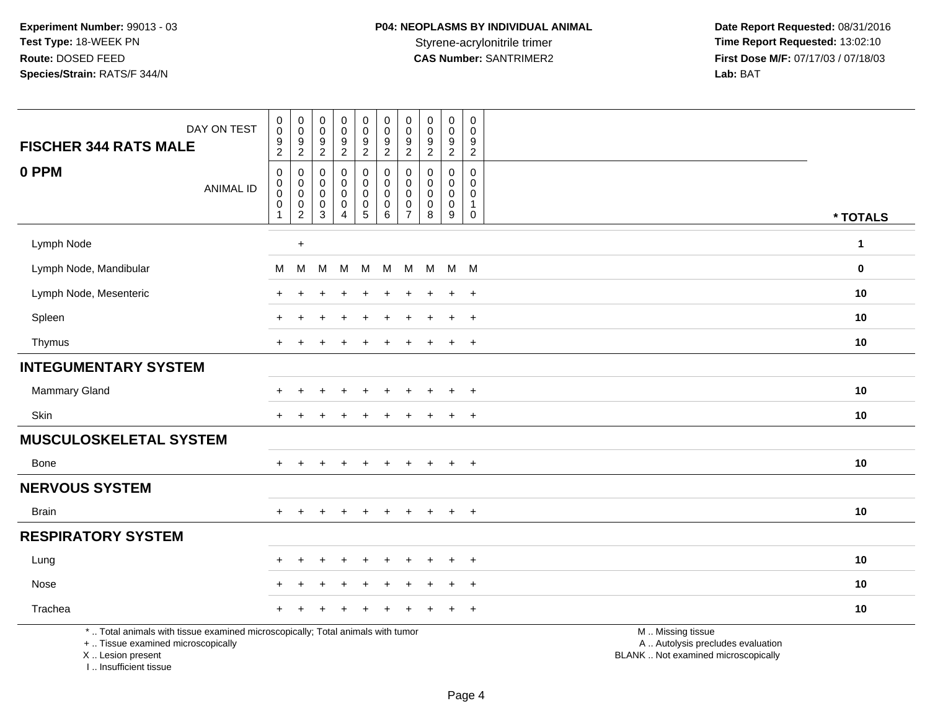**Date Report Requested:** 08/31/2016 **First Dose M/F:** 07/17/03 / 07/18/03<br>Lab: BAT **Lab:** BAT

| DAY ON TEST<br><b>FISCHER 344 RATS MALE</b>                                                                                                | $\pmb{0}$<br>$\mathsf 0$<br>$\frac{9}{2}$                     | 0<br>$\mathbf 0$<br>$\frac{9}{2}$                                              | $\mathbf 0$<br>$\mathsf{O}\xspace$<br>$\frac{9}{2}$                   | $_{\rm 0}^{\rm 0}$<br>$\frac{9}{2}$                                    | $\pmb{0}$<br>$\pmb{0}$<br>$\frac{9}{2}$                | $\pmb{0}$<br>$\mathbf 0$<br>$\frac{9}{2}$                               | $\pmb{0}$<br>$\Omega$<br>9<br>$\overline{2}$                  | $\pmb{0}$<br>$\pmb{0}$<br>$\frac{9}{2}$                                  | $\pmb{0}$<br>$\mathbf 0$<br>$\frac{9}{2}$                    | $\mathbf 0$<br>0<br>9<br>$\overline{2}$                         |                                                                                               |              |
|--------------------------------------------------------------------------------------------------------------------------------------------|---------------------------------------------------------------|--------------------------------------------------------------------------------|-----------------------------------------------------------------------|------------------------------------------------------------------------|--------------------------------------------------------|-------------------------------------------------------------------------|---------------------------------------------------------------|--------------------------------------------------------------------------|--------------------------------------------------------------|-----------------------------------------------------------------|-----------------------------------------------------------------------------------------------|--------------|
| 0 PPM<br><b>ANIMAL ID</b>                                                                                                                  | $\boldsymbol{0}$<br>0<br>$\mathbf 0$<br>$\boldsymbol{0}$<br>1 | 0<br>$\mathsf{O}\xspace$<br>$\mathsf{O}\xspace$<br>$\pmb{0}$<br>$\overline{c}$ | $\mathbf 0$<br>$\mathbf 0$<br>$\mathbf 0$<br>$\mathsf{O}\xspace$<br>3 | $\pmb{0}$<br>$\mathbf 0$<br>0<br>$\mathbf 0$<br>$\boldsymbol{\Lambda}$ | $\pmb{0}$<br>$\mathbf 0$<br>$\pmb{0}$<br>$\frac{0}{5}$ | $\pmb{0}$<br>$\mathbf 0$<br>$\mathbf 0$<br>$\pmb{0}$<br>$6\phantom{1}6$ | 0<br>$\Omega$<br>$\mathbf 0$<br>$\mathbf 0$<br>$\overline{7}$ | $\mathbf 0$<br>$\mathbf 0$<br>$\mathbf 0$<br>$\pmb{0}$<br>$\overline{8}$ | $\mathbf 0$<br>$\mathbf 0$<br>$\mathsf{O}$<br>$\pmb{0}$<br>9 | 0<br>$\overline{0}$<br>0<br>$\mathbf{1}$<br>$\mathsf{O}\xspace$ |                                                                                               | * TOTALS     |
| Lymph Node                                                                                                                                 |                                                               | $\ddot{}$                                                                      |                                                                       |                                                                        |                                                        |                                                                         |                                                               |                                                                          |                                                              |                                                                 |                                                                                               | $\mathbf{1}$ |
| Lymph Node, Mandibular                                                                                                                     | M                                                             | M                                                                              | M                                                                     | M                                                                      | M                                                      | M                                                                       | M                                                             | M                                                                        |                                                              | M M                                                             |                                                                                               | $\mathbf 0$  |
| Lymph Node, Mesenteric                                                                                                                     |                                                               |                                                                                |                                                                       |                                                                        |                                                        |                                                                         |                                                               |                                                                          | $\ddot{}$                                                    | $\ddot{}$                                                       |                                                                                               | 10           |
| Spleen                                                                                                                                     |                                                               |                                                                                |                                                                       |                                                                        |                                                        |                                                                         |                                                               |                                                                          | $+$                                                          | $+$                                                             |                                                                                               | 10           |
| Thymus                                                                                                                                     |                                                               |                                                                                |                                                                       |                                                                        |                                                        |                                                                         |                                                               |                                                                          | $\overline{+}$                                               | $+$                                                             |                                                                                               | 10           |
| <b>INTEGUMENTARY SYSTEM</b>                                                                                                                |                                                               |                                                                                |                                                                       |                                                                        |                                                        |                                                                         |                                                               |                                                                          |                                                              |                                                                 |                                                                                               |              |
| Mammary Gland                                                                                                                              |                                                               |                                                                                |                                                                       | $\div$                                                                 | $\ddot{}$                                              |                                                                         |                                                               |                                                                          | $\overline{+}$                                               | $+$                                                             |                                                                                               | 10           |
| Skin                                                                                                                                       | $+$                                                           | $\ddot{}$                                                                      |                                                                       | $\ddot{}$                                                              | $\ddot{}$                                              | $\ddot{}$                                                               | $\ddot{}$                                                     |                                                                          | $\ddot{}$                                                    | $+$                                                             |                                                                                               | 10           |
| <b>MUSCULOSKELETAL SYSTEM</b>                                                                                                              |                                                               |                                                                                |                                                                       |                                                                        |                                                        |                                                                         |                                                               |                                                                          |                                                              |                                                                 |                                                                                               |              |
| Bone                                                                                                                                       | $\pm$                                                         | $\ddot{}$                                                                      |                                                                       | $\div$                                                                 | $\ddot{}$                                              | $\ddot{}$                                                               | $\ddot{}$                                                     |                                                                          | $+$                                                          | $+$                                                             |                                                                                               | 10           |
| <b>NERVOUS SYSTEM</b>                                                                                                                      |                                                               |                                                                                |                                                                       |                                                                        |                                                        |                                                                         |                                                               |                                                                          |                                                              |                                                                 |                                                                                               |              |
| <b>Brain</b>                                                                                                                               | $+$                                                           | $+$                                                                            | $+$                                                                   | $\ddot{}$                                                              | $+$                                                    | $+$                                                                     | $+$                                                           | $+$                                                                      | $+$                                                          | $+$                                                             |                                                                                               | 10           |
| <b>RESPIRATORY SYSTEM</b>                                                                                                                  |                                                               |                                                                                |                                                                       |                                                                        |                                                        |                                                                         |                                                               |                                                                          |                                                              |                                                                 |                                                                                               |              |
| Lung                                                                                                                                       |                                                               |                                                                                |                                                                       |                                                                        |                                                        |                                                                         |                                                               |                                                                          |                                                              | $\ddot{}$                                                       |                                                                                               | 10           |
| Nose                                                                                                                                       |                                                               |                                                                                |                                                                       |                                                                        |                                                        |                                                                         |                                                               |                                                                          | $\ddot{}$                                                    | $\ddot{}$                                                       |                                                                                               | 10           |
| Trachea                                                                                                                                    |                                                               |                                                                                |                                                                       |                                                                        |                                                        |                                                                         |                                                               |                                                                          | $\div$                                                       | $+$                                                             |                                                                                               | 10           |
| *  Total animals with tissue examined microscopically; Total animals with tumor<br>+  Tissue examined microscopically<br>X  Lesion present |                                                               |                                                                                |                                                                       |                                                                        |                                                        |                                                                         |                                                               |                                                                          |                                                              |                                                                 | M  Missing tissue<br>A  Autolysis precludes evaluation<br>BLANK  Not examined microscopically |              |

I .. Insufficient tissue

pically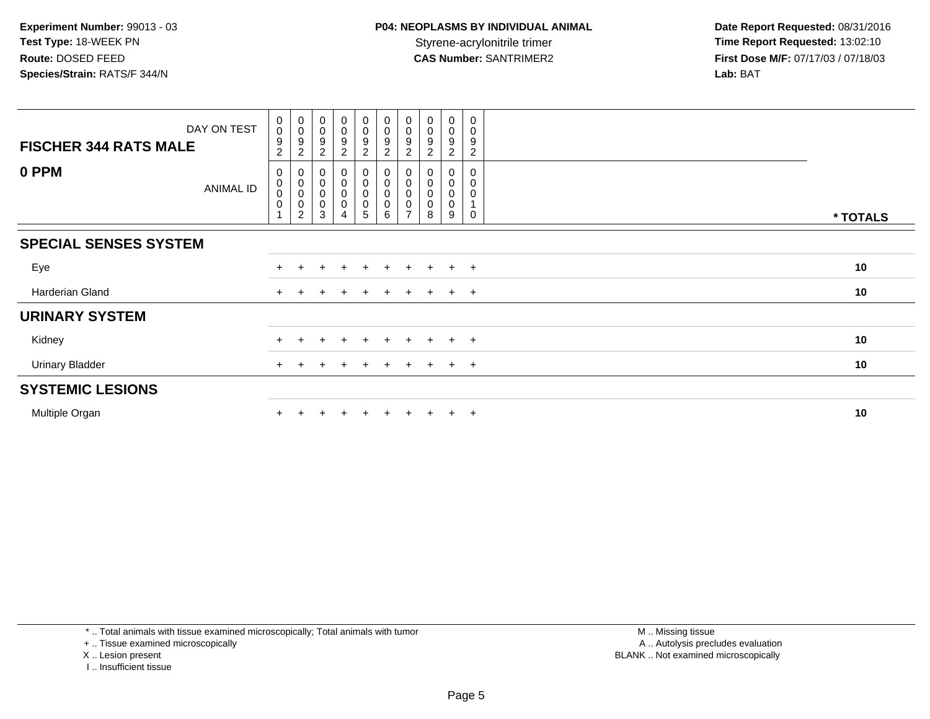| DAY ON TEST<br><b>FISCHER 344 RATS MALE</b> | $\begin{smallmatrix} 0\\0 \end{smallmatrix}$<br>9<br>$\overline{c}$ | $\begin{smallmatrix} 0\\0 \end{smallmatrix}$<br>9<br>$\overline{2}$ | $\begin{smallmatrix}0\\0\end{smallmatrix}$<br>9<br>$\overline{c}$ | $_0^0$<br>9<br>$\overline{c}$ | $\pmb{0}$<br>0<br>$\boldsymbol{9}$<br>$\overline{c}$ | $\mathbf 0$<br>$\pmb{0}$<br>$\boldsymbol{9}$<br>$\boldsymbol{2}$ | $\boldsymbol{0}$<br>$\pmb{0}$<br>9<br>2      | $_{\rm 0}^{\rm 0}$<br>$\boldsymbol{9}$<br>$\overline{c}$ | 0<br>$\pmb{0}$<br>9<br>2                | $\mathbf 0$<br>$\mathbf 0$<br>9<br>$\overline{c}$ |          |
|---------------------------------------------|---------------------------------------------------------------------|---------------------------------------------------------------------|-------------------------------------------------------------------|-------------------------------|------------------------------------------------------|------------------------------------------------------------------|----------------------------------------------|----------------------------------------------------------|-----------------------------------------|---------------------------------------------------|----------|
| 0 PPM<br>ANIMAL ID                          | 0<br>$\pmb{0}$<br>$\pmb{0}$<br>$\mathsf 0$                          | 0<br>$\pmb{0}$<br>$\pmb{0}$<br>$\pmb{0}$<br>2                       | $\boldsymbol{0}$<br>$\pmb{0}$<br>$\pmb{0}$<br>$\mathbf 0$<br>3    | $_{\rm 0}^{\rm 0}$<br>0<br>0  | 0<br>0<br>0<br>0<br>5                                | $_{\rm 0}^{\rm 0}$<br>$_{\rm 0}^{\rm 0}$<br>6                    | 0<br>$\mathsf 0$<br>0<br>0<br>$\overline{ }$ | 0<br>$\pmb{0}$<br>0<br>0<br>8                            | 0<br>$\pmb{0}$<br>0<br>$\mathbf 0$<br>9 | 0<br>$\Omega$                                     | * TOTALS |
| <b>SPECIAL SENSES SYSTEM</b>                |                                                                     |                                                                     |                                                                   |                               |                                                      |                                                                  |                                              |                                                          |                                         |                                                   |          |
| Eye                                         |                                                                     |                                                                     |                                                                   |                               | $+$                                                  |                                                                  |                                              |                                                          | $\div$                                  | $+$                                               | 10       |
| Harderian Gland                             | $+$                                                                 |                                                                     |                                                                   |                               | $\pm$                                                | $+$                                                              | $+$                                          | $+$                                                      | $+$                                     | $+$                                               | 10       |
| <b>URINARY SYSTEM</b>                       |                                                                     |                                                                     |                                                                   |                               |                                                      |                                                                  |                                              |                                                          |                                         |                                                   |          |
| Kidney                                      |                                                                     |                                                                     |                                                                   |                               | ÷.                                                   |                                                                  |                                              |                                                          | $\pm$                                   | $+$                                               | 10       |
| <b>Urinary Bladder</b>                      |                                                                     |                                                                     |                                                                   | $\ddot{}$                     | $+$                                                  | $+$                                                              | $\ddot{}$                                    | $+$                                                      | $+$                                     | $+$                                               | 10       |
| <b>SYSTEMIC LESIONS</b>                     |                                                                     |                                                                     |                                                                   |                               |                                                      |                                                                  |                                              |                                                          |                                         |                                                   |          |
| Multiple Organ                              |                                                                     |                                                                     |                                                                   | $\div$                        | $+$                                                  | $+$                                                              | $+$                                          | $+$                                                      | $\pm$                                   | $+$                                               | 10       |

\* .. Total animals with tissue examined microscopically; Total animals with tumor

+ .. Tissue examined microscopically

X .. Lesion present

I .. Insufficient tissue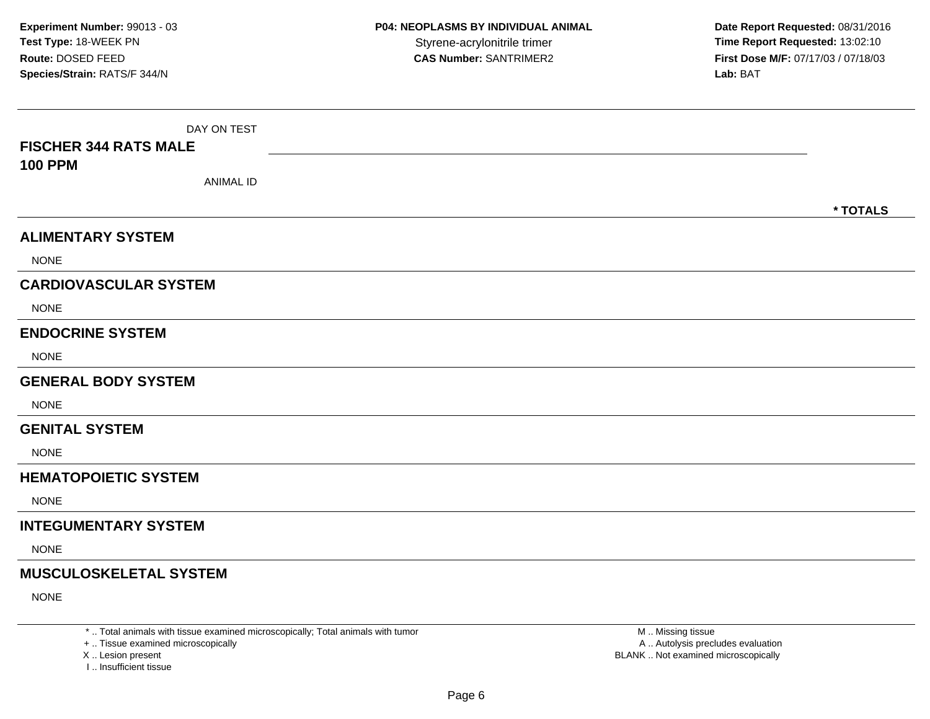| <b>FISCHER 344 RATS MALE</b><br><b>100 PPM</b><br><b>ANIMAL ID</b><br>* TOTALS<br><b>ALIMENTARY SYSTEM</b><br><b>NONE</b><br><b>CARDIOVASCULAR SYSTEM</b><br><b>NONE</b><br><b>ENDOCRINE SYSTEM</b><br><b>NONE</b><br><b>GENERAL BODY SYSTEM</b><br><b>NONE</b><br><b>GENITAL SYSTEM</b><br><b>NONE</b><br><b>HEMATOPOIETIC SYSTEM</b><br><b>NONE</b><br><b>INTEGUMENTARY SYSTEM</b><br><b>NONE</b><br><b>MUSCULOSKELETAL SYSTEM</b><br><b>NONE</b> | DAY ON TEST |  |
|-----------------------------------------------------------------------------------------------------------------------------------------------------------------------------------------------------------------------------------------------------------------------------------------------------------------------------------------------------------------------------------------------------------------------------------------------------|-------------|--|
|                                                                                                                                                                                                                                                                                                                                                                                                                                                     |             |  |
|                                                                                                                                                                                                                                                                                                                                                                                                                                                     |             |  |
|                                                                                                                                                                                                                                                                                                                                                                                                                                                     |             |  |
|                                                                                                                                                                                                                                                                                                                                                                                                                                                     |             |  |
|                                                                                                                                                                                                                                                                                                                                                                                                                                                     |             |  |
|                                                                                                                                                                                                                                                                                                                                                                                                                                                     |             |  |
|                                                                                                                                                                                                                                                                                                                                                                                                                                                     |             |  |
|                                                                                                                                                                                                                                                                                                                                                                                                                                                     |             |  |
|                                                                                                                                                                                                                                                                                                                                                                                                                                                     |             |  |
|                                                                                                                                                                                                                                                                                                                                                                                                                                                     |             |  |
|                                                                                                                                                                                                                                                                                                                                                                                                                                                     |             |  |
|                                                                                                                                                                                                                                                                                                                                                                                                                                                     |             |  |
|                                                                                                                                                                                                                                                                                                                                                                                                                                                     |             |  |
|                                                                                                                                                                                                                                                                                                                                                                                                                                                     |             |  |
|                                                                                                                                                                                                                                                                                                                                                                                                                                                     |             |  |
|                                                                                                                                                                                                                                                                                                                                                                                                                                                     |             |  |
|                                                                                                                                                                                                                                                                                                                                                                                                                                                     |             |  |
|                                                                                                                                                                                                                                                                                                                                                                                                                                                     |             |  |
|                                                                                                                                                                                                                                                                                                                                                                                                                                                     |             |  |
|                                                                                                                                                                                                                                                                                                                                                                                                                                                     |             |  |

\* .. Total animals with tissue examined microscopically; Total animals with tumor

+ .. Tissue examined microscopically

X .. Lesion present

I .. Insufficient tissue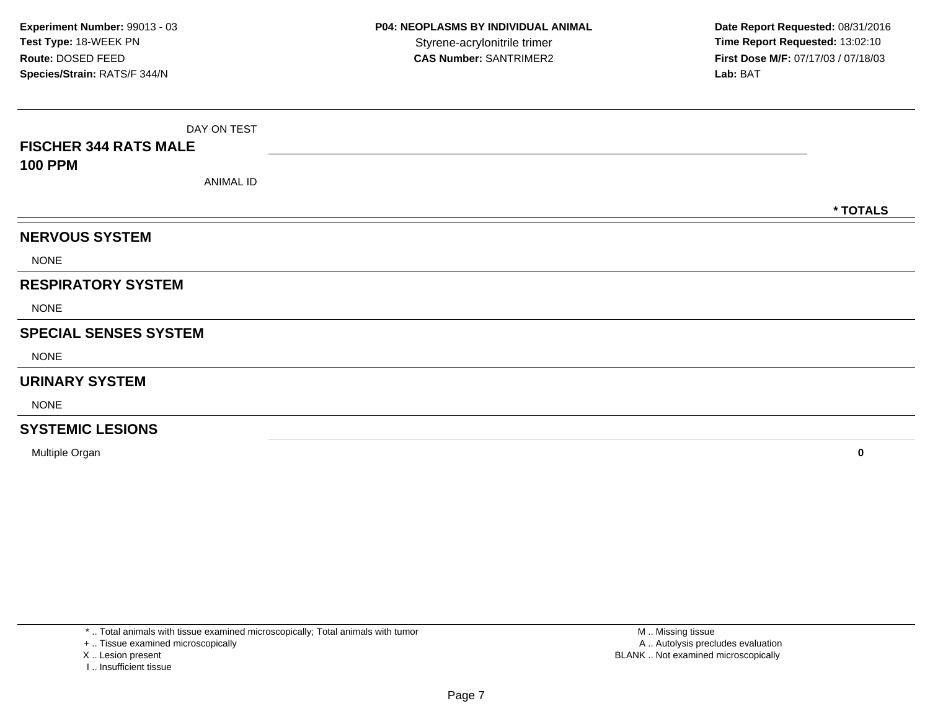| <b>FISCHER 344 RATS MALE</b> | DAY ON TEST |  |          |  |  |  |  |  |  |  |
|------------------------------|-------------|--|----------|--|--|--|--|--|--|--|
| <b>100 PPM</b>               | ANIMAL ID   |  |          |  |  |  |  |  |  |  |
|                              |             |  | * TOTALS |  |  |  |  |  |  |  |
| <b>NERVOUS SYSTEM</b>        |             |  |          |  |  |  |  |  |  |  |
| <b>NONE</b>                  |             |  |          |  |  |  |  |  |  |  |
| <b>RESPIRATORY SYSTEM</b>    |             |  |          |  |  |  |  |  |  |  |
| <b>NONE</b>                  |             |  |          |  |  |  |  |  |  |  |
| <b>SPECIAL SENSES SYSTEM</b> |             |  |          |  |  |  |  |  |  |  |
| <b>NONE</b>                  |             |  |          |  |  |  |  |  |  |  |
| <b>URINARY SYSTEM</b>        |             |  |          |  |  |  |  |  |  |  |
| <b>NONE</b>                  |             |  |          |  |  |  |  |  |  |  |
| <b>SYSTEMIC LESIONS</b>      |             |  |          |  |  |  |  |  |  |  |

Multiple Organ**<sup>0</sup>**

\* .. Total animals with tissue examined microscopically; Total animals with tumor

+ .. Tissue examined microscopically

X .. Lesion present

I .. Insufficient tissue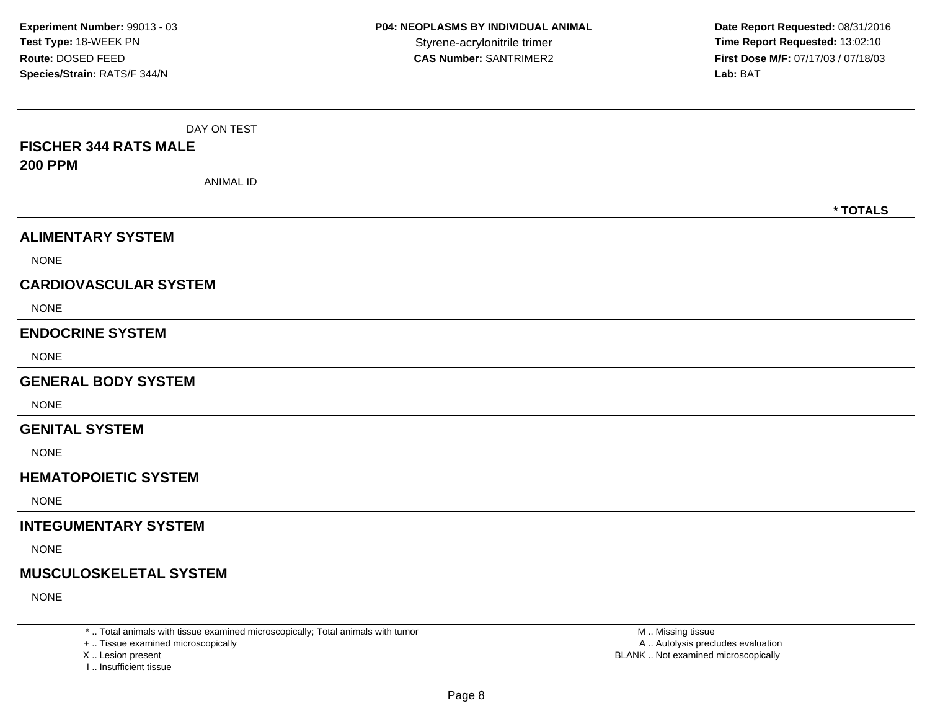| DAY ON TEST<br><b>FISCHER 344 RATS MALE</b><br><b>200 PPM</b><br><b>ANIMAL ID</b> |          |
|-----------------------------------------------------------------------------------|----------|
|                                                                                   | * TOTALS |
| <b>ALIMENTARY SYSTEM</b>                                                          |          |
| <b>NONE</b>                                                                       |          |
| <b>CARDIOVASCULAR SYSTEM</b>                                                      |          |
| <b>NONE</b>                                                                       |          |
| <b>ENDOCRINE SYSTEM</b>                                                           |          |
| <b>NONE</b>                                                                       |          |
| <b>GENERAL BODY SYSTEM</b>                                                        |          |
| <b>NONE</b>                                                                       |          |
| <b>GENITAL SYSTEM</b>                                                             |          |
| <b>NONE</b>                                                                       |          |
| <b>HEMATOPOIETIC SYSTEM</b>                                                       |          |
| <b>NONE</b>                                                                       |          |
| <b>INTEGUMENTARY SYSTEM</b>                                                       |          |
| <b>NONE</b>                                                                       |          |
| <b>MUSCULOSKELETAL SYSTEM</b>                                                     |          |
| <b>NONE</b>                                                                       |          |

\* .. Total animals with tissue examined microscopically; Total animals with tumor

+ .. Tissue examined microscopically

X .. Lesion present

I .. Insufficient tissue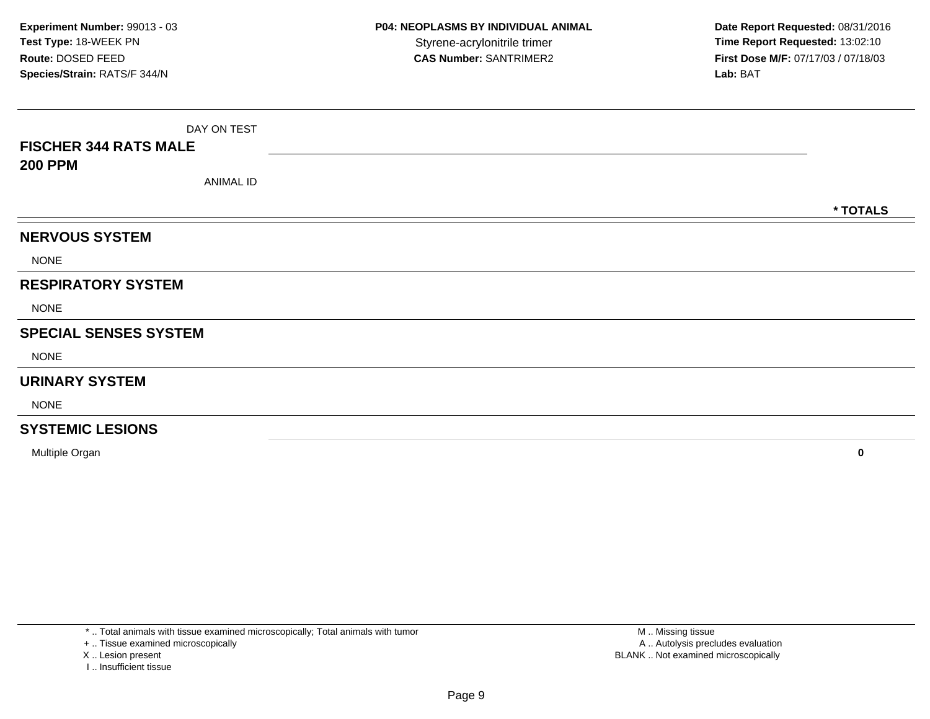| <b>FISCHER 344 RATS MALE</b> | DAY ON TEST |  |          |  |  |  |  |  |  |  |
|------------------------------|-------------|--|----------|--|--|--|--|--|--|--|
| <b>200 PPM</b>               | ANIMAL ID   |  |          |  |  |  |  |  |  |  |
|                              |             |  | * TOTALS |  |  |  |  |  |  |  |
| <b>NERVOUS SYSTEM</b>        |             |  |          |  |  |  |  |  |  |  |
| <b>NONE</b>                  |             |  |          |  |  |  |  |  |  |  |
| <b>RESPIRATORY SYSTEM</b>    |             |  |          |  |  |  |  |  |  |  |
| <b>NONE</b>                  |             |  |          |  |  |  |  |  |  |  |
| <b>SPECIAL SENSES SYSTEM</b> |             |  |          |  |  |  |  |  |  |  |
| <b>NONE</b>                  |             |  |          |  |  |  |  |  |  |  |
| <b>URINARY SYSTEM</b>        |             |  |          |  |  |  |  |  |  |  |
| <b>NONE</b>                  |             |  |          |  |  |  |  |  |  |  |
| <b>SYSTEMIC LESIONS</b>      |             |  |          |  |  |  |  |  |  |  |

Multiple Organ**<sup>0</sup>**

\* .. Total animals with tissue examined microscopically; Total animals with tumor

+ .. Tissue examined microscopically

X .. Lesion present

I .. Insufficient tissue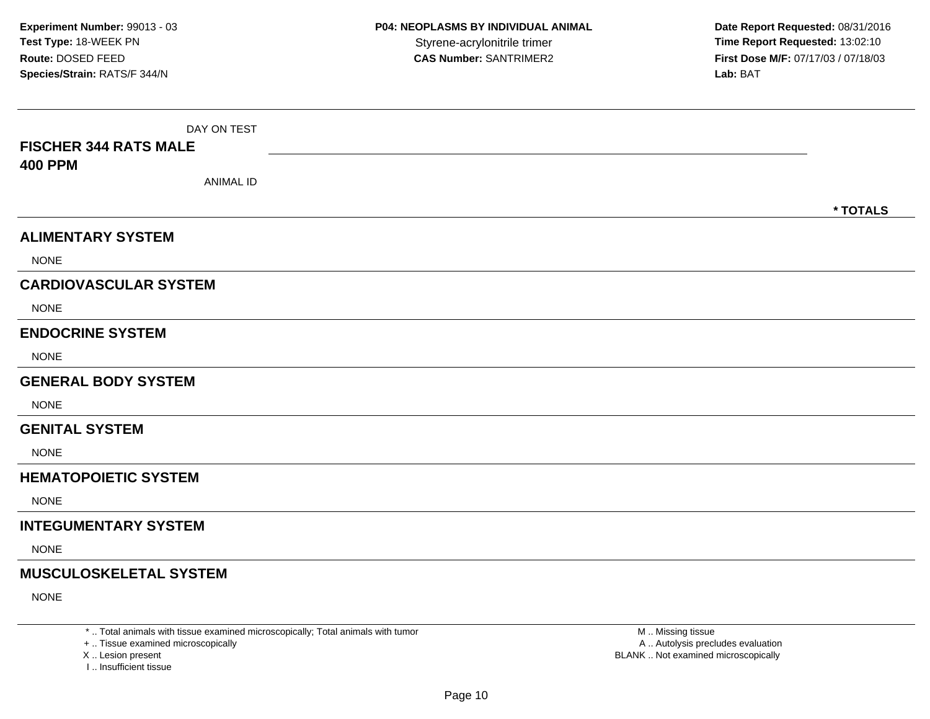| DAY ON TEST                        |          |
|------------------------------------|----------|
| <b>FISCHER 344 RATS MALE</b>       |          |
| <b>400 PPM</b><br><b>ANIMAL ID</b> |          |
|                                    |          |
|                                    | * TOTALS |
| <b>ALIMENTARY SYSTEM</b>           |          |
| <b>NONE</b>                        |          |
| <b>CARDIOVASCULAR SYSTEM</b>       |          |
| <b>NONE</b>                        |          |
| <b>ENDOCRINE SYSTEM</b>            |          |
| <b>NONE</b>                        |          |
| <b>GENERAL BODY SYSTEM</b>         |          |
| <b>NONE</b>                        |          |
| <b>GENITAL SYSTEM</b>              |          |
| <b>NONE</b>                        |          |
| <b>HEMATOPOIETIC SYSTEM</b>        |          |
| <b>NONE</b>                        |          |
| <b>INTEGUMENTARY SYSTEM</b>        |          |
| <b>NONE</b>                        |          |
| <b>MUSCULOSKELETAL SYSTEM</b>      |          |
| <b>NONE</b>                        |          |

\* .. Total animals with tissue examined microscopically; Total animals with tumor

+ .. Tissue examined microscopically

X .. Lesion present

I .. Insufficient tissue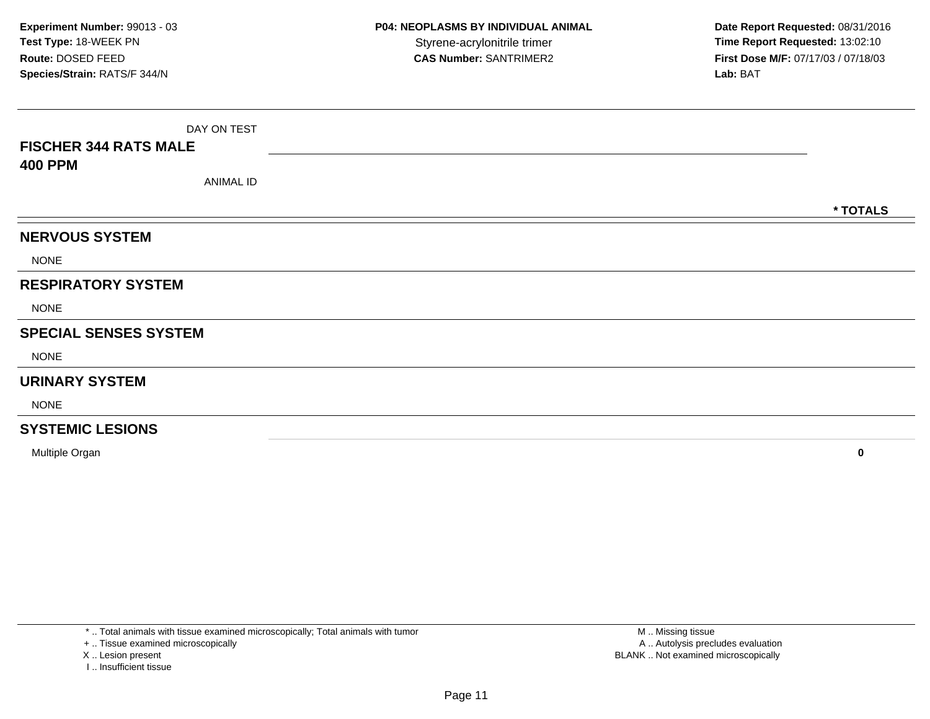| <b>FISCHER 344 RATS MALE</b><br><b>400 PPM</b> | DAY ON TEST |          |
|------------------------------------------------|-------------|----------|
|                                                | ANIMAL ID   |          |
|                                                |             | * TOTALS |
| <b>NERVOUS SYSTEM</b>                          |             |          |
| <b>NONE</b>                                    |             |          |
| <b>RESPIRATORY SYSTEM</b>                      |             |          |
| <b>NONE</b>                                    |             |          |
| <b>SPECIAL SENSES SYSTEM</b>                   |             |          |
| <b>NONE</b>                                    |             |          |
| <b>URINARY SYSTEM</b>                          |             |          |
| <b>NONE</b>                                    |             |          |
| <b>SYSTEMIC LESIONS</b>                        |             |          |

Multiple Organ**<sup>0</sup>**

\* .. Total animals with tissue examined microscopically; Total animals with tumor

+ .. Tissue examined microscopically

X .. Lesion present

I .. Insufficient tissue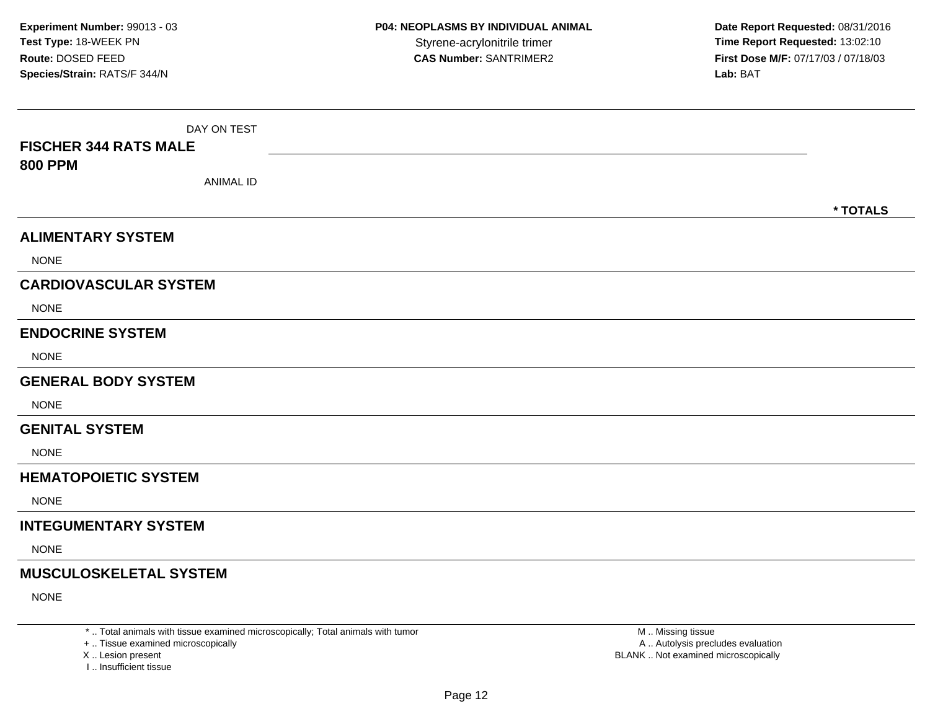| DAY ON TEST<br><b>FISCHER 344 RATS MALE</b><br><b>800 PPM</b><br><b>ANIMAL ID</b> |          |
|-----------------------------------------------------------------------------------|----------|
|                                                                                   | * TOTALS |
| <b>ALIMENTARY SYSTEM</b>                                                          |          |
| <b>NONE</b>                                                                       |          |
| <b>CARDIOVASCULAR SYSTEM</b>                                                      |          |
| <b>NONE</b>                                                                       |          |
| <b>ENDOCRINE SYSTEM</b>                                                           |          |
| <b>NONE</b>                                                                       |          |
| <b>GENERAL BODY SYSTEM</b>                                                        |          |
| <b>NONE</b>                                                                       |          |
| <b>GENITAL SYSTEM</b>                                                             |          |
| <b>NONE</b>                                                                       |          |
| <b>HEMATOPOIETIC SYSTEM</b>                                                       |          |
| <b>NONE</b>                                                                       |          |
| <b>INTEGUMENTARY SYSTEM</b>                                                       |          |
| <b>NONE</b>                                                                       |          |
| <b>MUSCULOSKELETAL SYSTEM</b>                                                     |          |
| <b>NONE</b>                                                                       |          |

\* .. Total animals with tissue examined microscopically; Total animals with tumor

+ .. Tissue examined microscopically

X .. Lesion present

I .. Insufficient tissue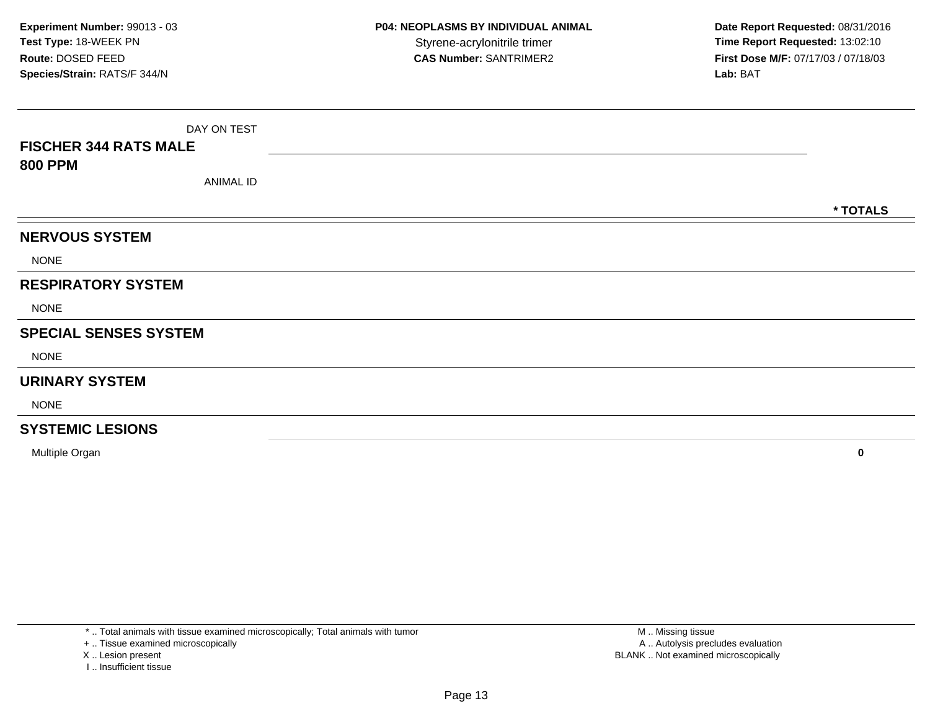| <b>FISCHER 344 RATS MALE</b> | DAY ON TEST |          |
|------------------------------|-------------|----------|
| <b>800 PPM</b>               | ANIMAL ID   |          |
|                              |             | * TOTALS |
| <b>NERVOUS SYSTEM</b>        |             |          |
| <b>NONE</b>                  |             |          |
| <b>RESPIRATORY SYSTEM</b>    |             |          |
| <b>NONE</b>                  |             |          |
| <b>SPECIAL SENSES SYSTEM</b> |             |          |
| <b>NONE</b>                  |             |          |
| <b>URINARY SYSTEM</b>        |             |          |
| <b>NONE</b>                  |             |          |
| <b>SYSTEMIC LESIONS</b>      |             |          |

Multiple Organ**<sup>0</sup>**

\* .. Total animals with tissue examined microscopically; Total animals with tumor

+ .. Tissue examined microscopically

X .. Lesion present

I .. Insufficient tissue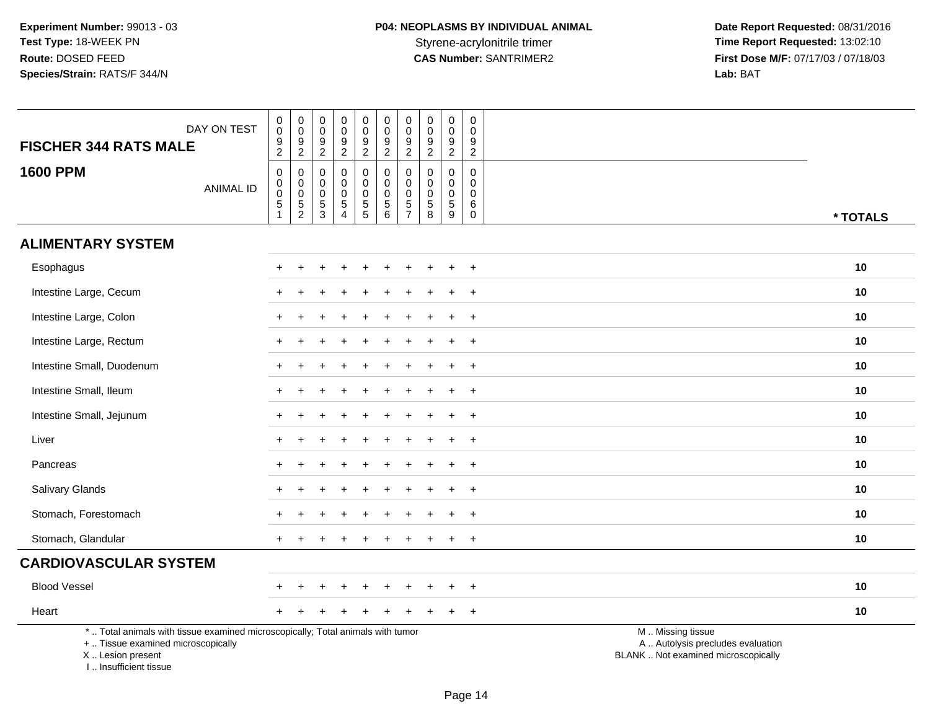| <b>FISCHER 344 RATS MALE</b>                                                                                                               | DAY ON TEST      | 0<br>$\pmb{0}$<br>$\boldsymbol{9}$                     | $\pmb{0}$<br>$\boldsymbol{0}$<br>$\boldsymbol{9}$                           | 0<br>$\pmb{0}$<br>9                                                  | $\pmb{0}$<br>$\pmb{0}$<br>$\boldsymbol{9}$            | $\pmb{0}$<br>$\mathbf 0$<br>$\boldsymbol{9}$                       | $\pmb{0}$<br>$\ddot{\mathbf{0}}$<br>9                                                      | $\pmb{0}$<br>0<br>$9\,$                                  | $\pmb{0}$<br>$\ddot{\mathbf{0}}$<br>$\boldsymbol{9}$                                             | $\pmb{0}$<br>$\ddot{\mathbf{0}}$<br>$\frac{9}{2}$          | $\mathbf 0$<br>$\Omega$<br>9                     |                                                                                               |          |
|--------------------------------------------------------------------------------------------------------------------------------------------|------------------|--------------------------------------------------------|-----------------------------------------------------------------------------|----------------------------------------------------------------------|-------------------------------------------------------|--------------------------------------------------------------------|--------------------------------------------------------------------------------------------|----------------------------------------------------------|--------------------------------------------------------------------------------------------------|------------------------------------------------------------|--------------------------------------------------|-----------------------------------------------------------------------------------------------|----------|
| <b>1600 PPM</b>                                                                                                                            | <b>ANIMAL ID</b> | $\overline{c}$<br>$\mathbf 0$<br>0<br>0<br>$\,$ 5 $\,$ | $\sqrt{2}$<br>$\pmb{0}$<br>$\mathbf 0$<br>$\boldsymbol{0}$<br>$\frac{5}{2}$ | $\overline{c}$<br>$\Omega$<br>0<br>$\boldsymbol{0}$<br>$\frac{5}{3}$ | $\overline{2}$<br>0<br>0<br>$\mathsf 0$<br>$\sqrt{5}$ | $\overline{2}$<br>0<br>$\mathbf 0$<br>$\mathbf 0$<br>$\frac{5}{5}$ | $\overline{2}$<br>0<br>$\mathbf 0$<br>$\mathbf 0$<br>$\begin{array}{c} 5 \\ 6 \end{array}$ | $\overline{2}$<br>0<br>$\mathbf 0$<br>0<br>$\frac{5}{7}$ | $\overline{c}$<br>$\mathbf 0$<br>$\pmb{0}$<br>$\pmb{0}$<br>$\begin{array}{c} 5 \\ 8 \end{array}$ | $\mathbf 0$<br>$\mathbf 0$<br>$\mathbf 0$<br>$\frac{5}{9}$ | 2<br>$\Omega$<br>$\mathbf 0$<br>$\mathbf 0$<br>6 |                                                                                               |          |
|                                                                                                                                            |                  | $\mathbf{1}$                                           |                                                                             |                                                                      | $\overline{4}$                                        |                                                                    |                                                                                            |                                                          |                                                                                                  |                                                            | $\mathbf 0$                                      |                                                                                               | * TOTALS |
| <b>ALIMENTARY SYSTEM</b>                                                                                                                   |                  |                                                        |                                                                             |                                                                      |                                                       |                                                                    |                                                                                            |                                                          |                                                                                                  |                                                            |                                                  |                                                                                               |          |
| Esophagus                                                                                                                                  |                  |                                                        |                                                                             |                                                                      |                                                       |                                                                    |                                                                                            |                                                          |                                                                                                  |                                                            | $+$                                              |                                                                                               | 10       |
| Intestine Large, Cecum                                                                                                                     |                  |                                                        |                                                                             |                                                                      |                                                       |                                                                    |                                                                                            |                                                          |                                                                                                  |                                                            | $\overline{+}$                                   |                                                                                               | 10       |
| Intestine Large, Colon                                                                                                                     |                  |                                                        |                                                                             |                                                                      |                                                       |                                                                    |                                                                                            |                                                          |                                                                                                  |                                                            |                                                  |                                                                                               | 10       |
| Intestine Large, Rectum                                                                                                                    |                  |                                                        |                                                                             |                                                                      |                                                       |                                                                    |                                                                                            |                                                          |                                                                                                  |                                                            | $\pm$                                            |                                                                                               | 10       |
| Intestine Small, Duodenum                                                                                                                  |                  |                                                        |                                                                             |                                                                      |                                                       |                                                                    |                                                                                            |                                                          |                                                                                                  | ÷                                                          | $\overline{+}$                                   |                                                                                               | 10       |
| Intestine Small, Ileum                                                                                                                     |                  |                                                        |                                                                             |                                                                      |                                                       |                                                                    |                                                                                            |                                                          |                                                                                                  |                                                            | $\div$                                           |                                                                                               | 10       |
| Intestine Small, Jejunum                                                                                                                   |                  |                                                        |                                                                             |                                                                      |                                                       |                                                                    |                                                                                            |                                                          |                                                                                                  |                                                            | $\overline{ }$                                   |                                                                                               | 10       |
| Liver                                                                                                                                      |                  | $\ddot{}$                                              |                                                                             |                                                                      |                                                       |                                                                    |                                                                                            |                                                          |                                                                                                  | $\pm$                                                      | $+$                                              |                                                                                               | 10       |
| Pancreas                                                                                                                                   |                  |                                                        |                                                                             |                                                                      |                                                       |                                                                    |                                                                                            |                                                          |                                                                                                  |                                                            | $\ddot{}$                                        |                                                                                               | 10       |
| Salivary Glands                                                                                                                            |                  |                                                        |                                                                             |                                                                      |                                                       |                                                                    |                                                                                            |                                                          |                                                                                                  |                                                            |                                                  |                                                                                               | 10       |
| Stomach, Forestomach                                                                                                                       |                  |                                                        |                                                                             |                                                                      |                                                       |                                                                    |                                                                                            |                                                          |                                                                                                  | ÷                                                          | $+$                                              |                                                                                               | 10       |
| Stomach, Glandular                                                                                                                         |                  |                                                        |                                                                             |                                                                      |                                                       |                                                                    |                                                                                            |                                                          |                                                                                                  |                                                            | $\ddot{}$                                        |                                                                                               | 10       |
| <b>CARDIOVASCULAR SYSTEM</b>                                                                                                               |                  |                                                        |                                                                             |                                                                      |                                                       |                                                                    |                                                                                            |                                                          |                                                                                                  |                                                            |                                                  |                                                                                               |          |
| <b>Blood Vessel</b>                                                                                                                        |                  |                                                        |                                                                             |                                                                      |                                                       |                                                                    |                                                                                            |                                                          |                                                                                                  |                                                            | $\overline{+}$                                   |                                                                                               | 10       |
| Heart                                                                                                                                      |                  |                                                        |                                                                             |                                                                      |                                                       |                                                                    |                                                                                            |                                                          |                                                                                                  |                                                            | $\ddot{}$                                        |                                                                                               | 10       |
| *  Total animals with tissue examined microscopically; Total animals with tumor<br>+  Tissue examined microscopically<br>X  Lesion present |                  |                                                        |                                                                             |                                                                      |                                                       |                                                                    |                                                                                            |                                                          |                                                                                                  |                                                            |                                                  | M  Missing tissue<br>A  Autolysis precludes evaluation<br>BLANK  Not examined microscopically |          |

I .. Insufficient tissue

Page 14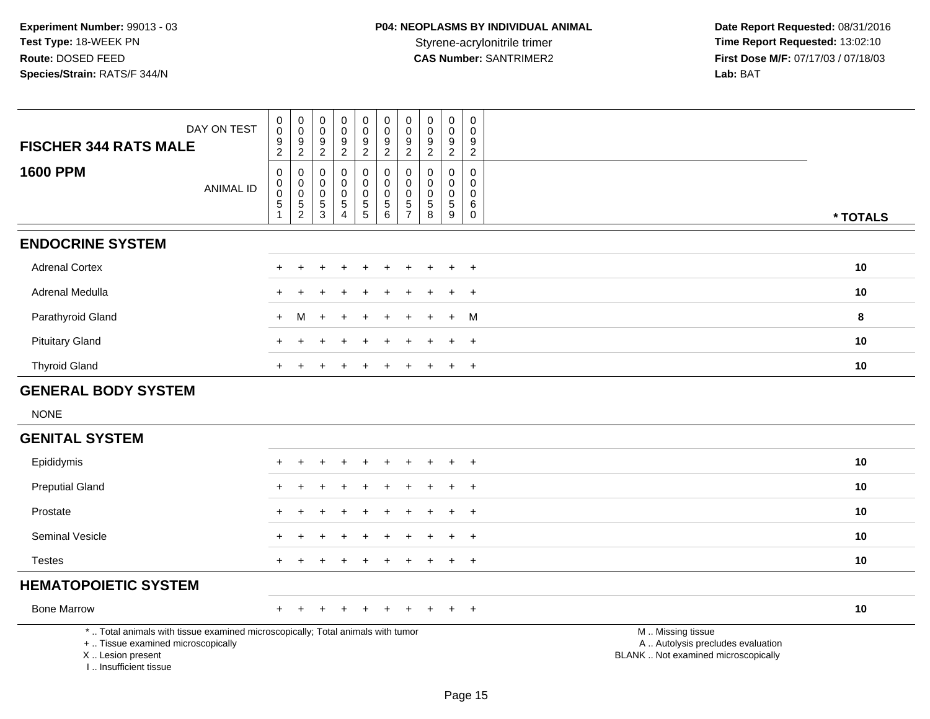| DAY ON TEST<br><b>FISCHER 344 RATS MALE</b>                                                                                                                         | $\pmb{0}$<br>$\mathbf 0$<br>$\frac{9}{2}$                                | $\pmb{0}$<br>$\mathbf 0$<br>$\frac{9}{2}$           | $\pmb{0}$<br>$\mathbf 0$<br>$9\,$<br>$\sqrt{2}$                               | $\pmb{0}$<br>$\mathbf 0$<br>9<br>$\boldsymbol{2}$ | $\mathbf 0$<br>$\mathsf{O}\xspace$<br>$\overline{9}$<br>$\overline{2}$ | $\mathsf 0$<br>$\mathbf 0$<br>$\frac{9}{2}$                                    | $\pmb{0}$<br>$\pmb{0}$<br>$\boldsymbol{9}$<br>$\overline{2}$ | $\boldsymbol{0}$<br>0<br>9<br>$\overline{2}$    | $\pmb{0}$<br>$\mathbf 0$<br>$\boldsymbol{9}$<br>$\overline{2}$ | $\pmb{0}$<br>$\mathbf 0$<br>9<br>$\sqrt{2}$         |                                                                                               |
|---------------------------------------------------------------------------------------------------------------------------------------------------------------------|--------------------------------------------------------------------------|-----------------------------------------------------|-------------------------------------------------------------------------------|---------------------------------------------------|------------------------------------------------------------------------|--------------------------------------------------------------------------------|--------------------------------------------------------------|-------------------------------------------------|----------------------------------------------------------------|-----------------------------------------------------|-----------------------------------------------------------------------------------------------|
| <b>1600 PPM</b><br><b>ANIMAL ID</b>                                                                                                                                 | $\mathbf 0$<br>$\mathbf 0$<br>$\mathsf{O}\xspace$<br>5<br>$\overline{1}$ | $\boldsymbol{0}$<br>$\overline{0}$<br>$\frac{5}{2}$ | $\mathbf 0$<br>$\mathbf 0$<br>$\mathbf 0$<br>$\overline{5}$<br>$\overline{3}$ | 0<br>0<br>$\pmb{0}$<br>5<br>4                     | $\mathbf 0$<br>$\mathbf 0$<br>$\mathbf 0$<br>$\frac{5}{5}$             | $\pmb{0}$<br>$\mathbf 0$<br>$\pmb{0}$<br>$\begin{array}{c} 5 \\ 6 \end{array}$ | $\pmb{0}$<br>$\mathbf 0$<br>$\mathbf 0$<br>$\frac{5}{7}$     | 0<br>$\Omega$<br>$\mathbf 0$<br>$\sqrt{5}$<br>8 | $\pmb{0}$<br>$\mathbf 0$<br>$\mathsf 0$<br>5<br>9              | 0<br>$\mathbf 0$<br>$\mathbf 0$<br>6<br>$\mathbf 0$ | * TOTALS                                                                                      |
| <b>ENDOCRINE SYSTEM</b>                                                                                                                                             |                                                                          |                                                     |                                                                               |                                                   |                                                                        |                                                                                |                                                              |                                                 |                                                                |                                                     |                                                                                               |
| <b>Adrenal Cortex</b>                                                                                                                                               |                                                                          |                                                     |                                                                               |                                                   |                                                                        |                                                                                |                                                              |                                                 |                                                                | $\overline{+}$                                      | 10                                                                                            |
| Adrenal Medulla                                                                                                                                                     |                                                                          |                                                     |                                                                               |                                                   |                                                                        |                                                                                |                                                              |                                                 |                                                                | $\ddot{}$                                           | 10                                                                                            |
| Parathyroid Gland                                                                                                                                                   | $+$                                                                      | м                                                   |                                                                               |                                                   |                                                                        |                                                                                |                                                              |                                                 |                                                                | M                                                   | 8                                                                                             |
| <b>Pituitary Gland</b>                                                                                                                                              |                                                                          |                                                     |                                                                               |                                                   |                                                                        |                                                                                |                                                              |                                                 | ÷                                                              | $+$                                                 | 10                                                                                            |
| <b>Thyroid Gland</b>                                                                                                                                                |                                                                          |                                                     |                                                                               |                                                   |                                                                        |                                                                                |                                                              |                                                 |                                                                | $\overline{+}$                                      | 10                                                                                            |
| <b>GENERAL BODY SYSTEM</b>                                                                                                                                          |                                                                          |                                                     |                                                                               |                                                   |                                                                        |                                                                                |                                                              |                                                 |                                                                |                                                     |                                                                                               |
| <b>NONE</b>                                                                                                                                                         |                                                                          |                                                     |                                                                               |                                                   |                                                                        |                                                                                |                                                              |                                                 |                                                                |                                                     |                                                                                               |
| <b>GENITAL SYSTEM</b>                                                                                                                                               |                                                                          |                                                     |                                                                               |                                                   |                                                                        |                                                                                |                                                              |                                                 |                                                                |                                                     |                                                                                               |
| Epididymis                                                                                                                                                          |                                                                          |                                                     |                                                                               |                                                   |                                                                        |                                                                                |                                                              |                                                 |                                                                | $\overline{+}$                                      | 10                                                                                            |
| <b>Preputial Gland</b>                                                                                                                                              |                                                                          |                                                     |                                                                               |                                                   |                                                                        |                                                                                |                                                              |                                                 |                                                                | $\ddot{}$                                           | 10                                                                                            |
| Prostate                                                                                                                                                            |                                                                          |                                                     |                                                                               |                                                   |                                                                        |                                                                                |                                                              |                                                 |                                                                | $\overline{+}$                                      | 10                                                                                            |
| Seminal Vesicle                                                                                                                                                     |                                                                          |                                                     |                                                                               |                                                   |                                                                        |                                                                                |                                                              |                                                 |                                                                | $\ddot{}$                                           | 10                                                                                            |
| <b>Testes</b>                                                                                                                                                       |                                                                          |                                                     |                                                                               |                                                   |                                                                        |                                                                                |                                                              |                                                 |                                                                | $\overline{+}$                                      | 10                                                                                            |
| <b>HEMATOPOIETIC SYSTEM</b>                                                                                                                                         |                                                                          |                                                     |                                                                               |                                                   |                                                                        |                                                                                |                                                              |                                                 |                                                                |                                                     |                                                                                               |
| <b>Bone Marrow</b>                                                                                                                                                  | $+$                                                                      |                                                     |                                                                               |                                                   |                                                                        | $\div$                                                                         |                                                              |                                                 |                                                                | $^{+}$                                              | 10                                                                                            |
| *  Total animals with tissue examined microscopically; Total animals with tumor<br>+  Tissue examined microscopically<br>X  Lesion present<br>I Insufficient tissue |                                                                          |                                                     |                                                                               |                                                   |                                                                        |                                                                                |                                                              |                                                 |                                                                |                                                     | M  Missing tissue<br>A  Autolysis precludes evaluation<br>BLANK  Not examined microscopically |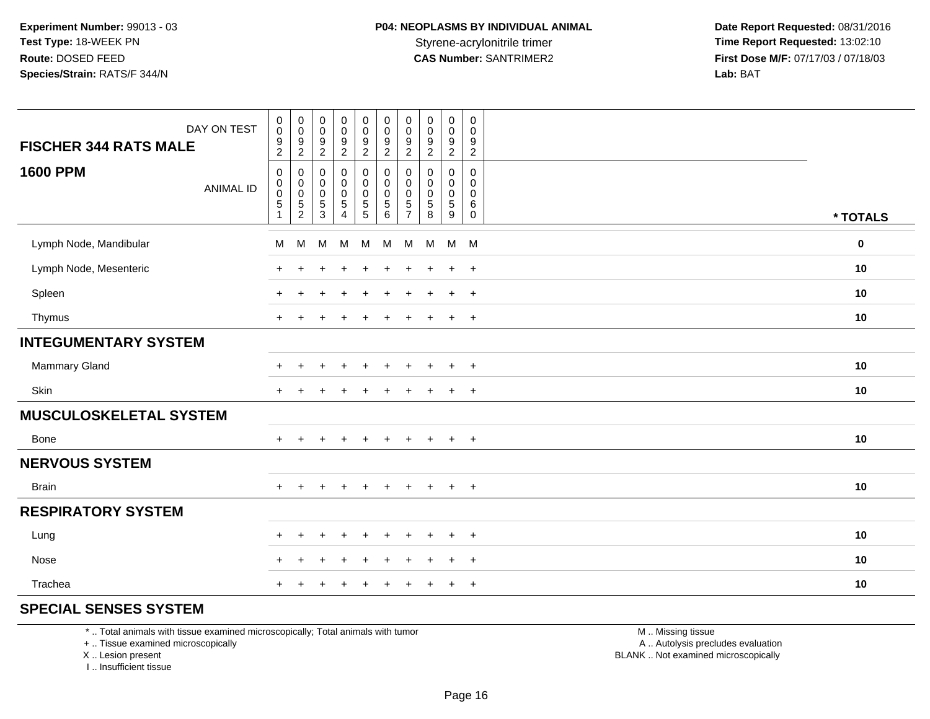| DAY ON TEST<br><b>FISCHER 344 RATS MALE</b> | $\begin{smallmatrix} 0\\0 \end{smallmatrix}$<br>$\frac{9}{2}$                     | $\pmb{0}$<br>$\,0\,$<br>$\boldsymbol{9}$<br>$\overline{2}$  | 0<br>$\ddot{\mathbf{0}}$<br>9<br>$\overline{2}$ | $\begin{smallmatrix}0\0\0\end{smallmatrix}$<br>$\frac{9}{2}$ | $\begin{smallmatrix} 0\\0 \end{smallmatrix}$<br>$\frac{9}{2}$ | $\pmb{0}$<br>$\ddot{\mathbf{0}}$<br>$\boldsymbol{9}$<br>$\overline{2}$ | $\pmb{0}$<br>$\mathbf 0$<br>9<br>$\overline{c}$        | 0<br>$\pmb{0}$<br>9<br>$\overline{c}$    | $\pmb{0}$<br>$\mathsf{O}\xspace$<br>$\boldsymbol{9}$<br>$\overline{2}$ | $\mathsf{O}\xspace$<br>$\mathbf 0$<br>9<br>$\overline{2}$ |          |
|---------------------------------------------|-----------------------------------------------------------------------------------|-------------------------------------------------------------|-------------------------------------------------|--------------------------------------------------------------|---------------------------------------------------------------|------------------------------------------------------------------------|--------------------------------------------------------|------------------------------------------|------------------------------------------------------------------------|-----------------------------------------------------------|----------|
| <b>1600 PPM</b><br><b>ANIMAL ID</b>         | $\mathbf 0$<br>$\boldsymbol{0}$<br>$\overline{0}$<br>$\sqrt{5}$<br>$\overline{1}$ | $\,0\,$<br>$\boldsymbol{0}$<br>$\mathbf 0$<br>$\frac{5}{2}$ | $\,0\,$<br>$\mathbf 0$<br>0<br>5<br>3           | 0<br>$\mathbf 0$<br>$\mathbf 0$<br>5<br>4                    | $\pmb{0}$<br>$\pmb{0}$<br>$\mathbf 0$<br>$\frac{5}{5}$        | $\pmb{0}$<br>$\pmb{0}$<br>$\pmb{0}$<br>$\frac{5}{6}$                   | 0<br>$\mathbf 0$<br>$\mathbf 0$<br>5<br>$\overline{7}$ | 0<br>0<br>$\mathbf 0$<br>$\sqrt{5}$<br>8 | 0<br>0<br>0<br>5<br>$9\,$                                              | $\mathsf 0$<br>0<br>$\mathbf 0$<br>$\,6\,$<br>$\mathbf 0$ | * TOTALS |
| Lymph Node, Mandibular                      | M                                                                                 | M                                                           | M                                               | M                                                            | M                                                             | M                                                                      | M                                                      | M                                        |                                                                        | M M                                                       | $\bf{0}$ |
| Lymph Node, Mesenteric                      |                                                                                   |                                                             |                                                 |                                                              | ÷                                                             |                                                                        |                                                        |                                          | $\ddot{}$                                                              | $+$                                                       | 10       |
| Spleen                                      |                                                                                   |                                                             |                                                 | $\ddot{}$                                                    | $\ddot{}$                                                     | ÷                                                                      | $\pm$                                                  | ÷                                        | $\ddot{}$                                                              | $+$                                                       | 10       |
| Thymus                                      |                                                                                   |                                                             |                                                 |                                                              |                                                               |                                                                        |                                                        |                                          | $\ddot{}$                                                              | $+$                                                       | 10       |
| <b>INTEGUMENTARY SYSTEM</b>                 |                                                                                   |                                                             |                                                 |                                                              |                                                               |                                                                        |                                                        |                                          |                                                                        |                                                           |          |
| Mammary Gland                               |                                                                                   |                                                             |                                                 |                                                              |                                                               |                                                                        |                                                        |                                          | $\div$                                                                 | $+$                                                       | 10       |
| Skin                                        | $\pm$                                                                             |                                                             |                                                 |                                                              |                                                               |                                                                        |                                                        |                                          | $\ddot{}$                                                              | $\ddot{}$                                                 | 10       |
| <b>MUSCULOSKELETAL SYSTEM</b>               |                                                                                   |                                                             |                                                 |                                                              |                                                               |                                                                        |                                                        |                                          |                                                                        |                                                           |          |
| Bone                                        | $+$                                                                               | $\ddot{}$                                                   | $\ddot{}$                                       | $\ddot{}$                                                    | $+$                                                           | $+$                                                                    | $\ddot{}$                                              | $\ddot{}$                                | $\ddot{}$                                                              | $+$                                                       | 10       |
| <b>NERVOUS SYSTEM</b>                       |                                                                                   |                                                             |                                                 |                                                              |                                                               |                                                                        |                                                        |                                          |                                                                        |                                                           |          |
| <b>Brain</b>                                | $+$                                                                               | $+$                                                         |                                                 | $\ddot{}$                                                    | $+$                                                           | $+$                                                                    | $\ddot{}$                                              | $+$                                      | $+$                                                                    | $+$                                                       | 10       |
| <b>RESPIRATORY SYSTEM</b>                   |                                                                                   |                                                             |                                                 |                                                              |                                                               |                                                                        |                                                        |                                          |                                                                        |                                                           |          |
| Lung                                        | $\pm$                                                                             | $\ddot{}$                                                   |                                                 | $\div$                                                       | $\ddot{}$                                                     |                                                                        | $\pm$                                                  |                                          | $\ddot{}$                                                              | $+$                                                       | 10       |
| Nose                                        | $\pm$                                                                             | $\ddot{}$                                                   |                                                 |                                                              |                                                               |                                                                        |                                                        |                                          | $\ddot{}$                                                              | $+$                                                       | 10       |
| Trachea                                     |                                                                                   |                                                             |                                                 |                                                              |                                                               |                                                                        |                                                        |                                          |                                                                        | $+$                                                       | 10       |

#### **SPECIAL SENSES SYSTEM**

\* .. Total animals with tissue examined microscopically; Total animals with tumor

+ .. Tissue examined microscopically

X .. Lesion present

I .. Insufficient tissue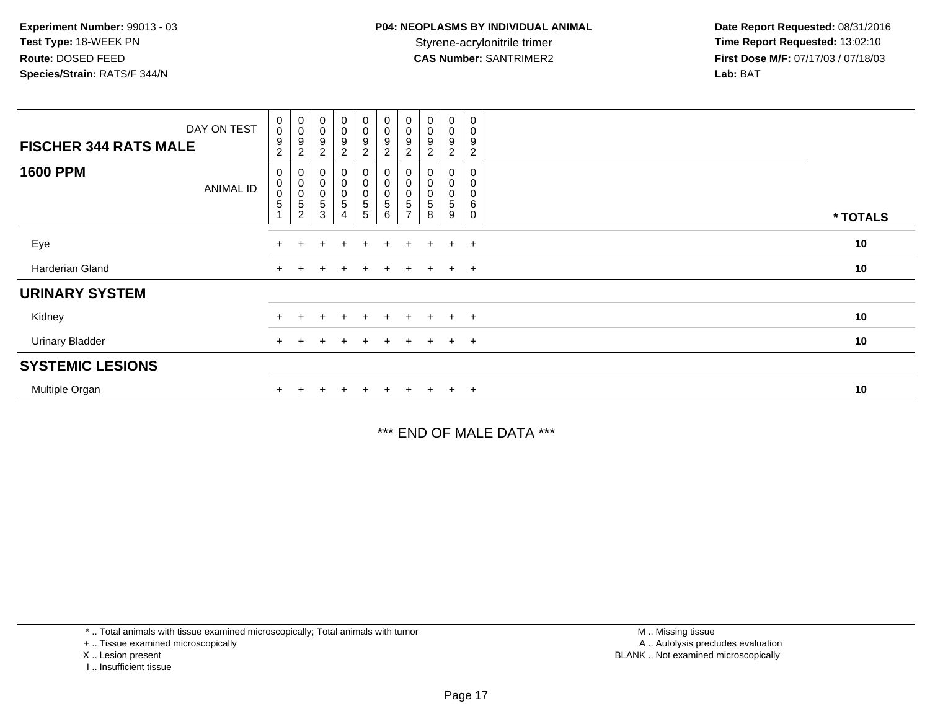| DAY ON TEST<br><b>FISCHER 344 RATS MALE</b> | $_{\rm 0}^{\rm 0}$<br>9<br>$\overline{c}$ | $\begin{smallmatrix}0\\0\end{smallmatrix}$<br>$\boldsymbol{9}$<br>$\overline{c}$ | $\begin{smallmatrix}0\\0\end{smallmatrix}$<br>9<br>$\overline{\mathbf{c}}$ | $\begin{smallmatrix}0\0\0\end{smallmatrix}$<br>9<br>$\overline{2}$ | $_0^0$<br>9<br>$\overline{2}$          | $\begin{smallmatrix} 0\\0 \end{smallmatrix}$<br>$\boldsymbol{9}$<br>$\sqrt{2}$ | $_{\rm 0}^{\rm 0}$<br>9<br>$\overline{2}$            | $\begin{smallmatrix}0\\0\end{smallmatrix}$<br>9 | $_0^0$<br>9<br>$\overline{2}$                    | $\overline{0}$<br>0<br>9<br>$\mathbf{2}$ |          |
|---------------------------------------------|-------------------------------------------|----------------------------------------------------------------------------------|----------------------------------------------------------------------------|--------------------------------------------------------------------|----------------------------------------|--------------------------------------------------------------------------------|------------------------------------------------------|-------------------------------------------------|--------------------------------------------------|------------------------------------------|----------|
| <b>1600 PPM</b><br><b>ANIMAL ID</b>         | 0<br>$_{\rm 0}^{\rm 0}$<br>5              | $\begin{smallmatrix}0\\0\\0\end{smallmatrix}$<br>$\mathbf 5$<br>$\overline{2}$   | $\pmb{0}$<br>$\begin{smallmatrix}0\\0\end{smallmatrix}$<br>5<br>3          | $\begin{smallmatrix}0\0\0\0\end{smallmatrix}$<br>$\sqrt{5}$        | 0<br>$_{0}^{0}$<br>$\overline{5}$<br>5 | $\begin{smallmatrix}0\\0\\0\end{smallmatrix}$<br>$\,$ 5 $\,$<br>6              | 0<br>$\pmb{0}$<br>$\mathbf 0$<br>5<br>$\overline{ }$ | $\mathbf 0$<br>$\overline{0}$<br>5<br>8         | 0<br>$\mathbf 0$<br>$\pmb{0}$<br>$\sqrt{5}$<br>9 | 0<br>0<br>0<br>6<br>0                    | * TOTALS |
| Eye                                         |                                           |                                                                                  |                                                                            | $\div$                                                             | $\pm$                                  | $\pm$                                                                          | $\pm$                                                | $\pm$                                           | $+$                                              | $+$                                      | 10       |
| Harderian Gland                             |                                           |                                                                                  |                                                                            | $\ddot{}$                                                          | $\ddot{}$                              | $\pm$                                                                          | $\pm$                                                | $+$                                             | $+$                                              | $+$                                      | 10       |
| <b>URINARY SYSTEM</b>                       |                                           |                                                                                  |                                                                            |                                                                    |                                        |                                                                                |                                                      |                                                 |                                                  |                                          |          |
| Kidney                                      |                                           |                                                                                  |                                                                            |                                                                    | $+$                                    |                                                                                |                                                      |                                                 | $+$                                              | $+$                                      | 10       |
| <b>Urinary Bladder</b>                      |                                           |                                                                                  |                                                                            | $\ddot{}$                                                          | $\pm$                                  | $+$                                                                            | $\pm$                                                | $+$                                             | $+$                                              | $+$                                      | 10       |
| <b>SYSTEMIC LESIONS</b>                     |                                           |                                                                                  |                                                                            |                                                                    |                                        |                                                                                |                                                      |                                                 |                                                  |                                          |          |
| Multiple Organ                              |                                           |                                                                                  |                                                                            | $\div$                                                             | $\ddot{}$                              | $+$                                                                            |                                                      |                                                 | $+$                                              | $+$                                      | 10       |

\*\*\* END OF MALE DATA \*\*\*

\* .. Total animals with tissue examined microscopically; Total animals with tumor

+ .. Tissue examined microscopically

X .. Lesion present

I .. Insufficient tissue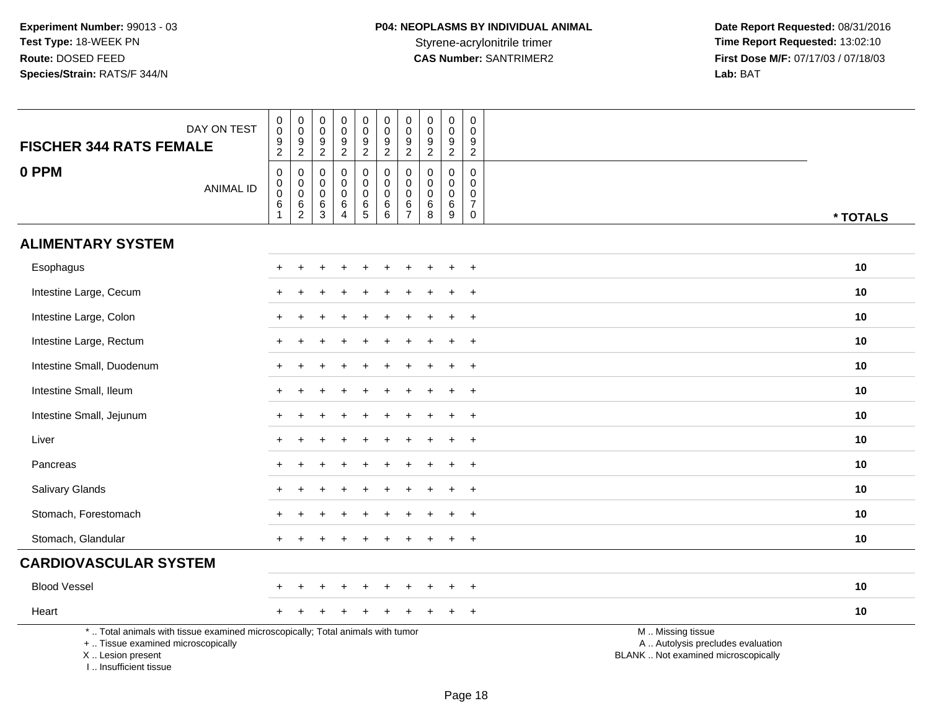**Date Report Requested:** 08/31/2016 Styrene-acrylonitrile trimer<br>
CAS Number: SANTRIMER2<br>
CAS Number: SANTRIMER2<br>
Tirst Dose M/F: 07/17/03 / 07/18/03 **First Dose M/F:** 07/17/03 / 07/18/03<br>Lab: BAT **Lab:** BAT

| DAY ON TEST<br><b>FISCHER 344 RATS FEMALE</b>                                                                                                                       |                  | $\pmb{0}$<br>$\mathbf 0$<br>$\frac{9}{2}$                            | $\pmb{0}$<br>$\pmb{0}$<br>$\frac{9}{2}$                       | $\pmb{0}$<br>$\mathbf 0$<br>$\boldsymbol{9}$<br>$\overline{2}$ | $\mathsf 0$<br>$\mathbf 0$<br>$\boldsymbol{9}$<br>$\overline{2}$ | $\pmb{0}$<br>$\boldsymbol{0}$<br>$\frac{9}{2}$ | $\mathbf 0$<br>$\mathbf 0$<br>9<br>$\overline{2}$                  | $\pmb{0}$<br>$\pmb{0}$<br>$\boldsymbol{9}$<br>$\overline{2}$     | $\mathbf 0$<br>$\mathbf 0$<br>$\boldsymbol{9}$<br>$\overline{2}$ | $\pmb{0}$<br>$\mathbf 0$<br>$\boldsymbol{9}$<br>$\overline{2}$ | $\pmb{0}$<br>$\mathbf 0$<br>$\boldsymbol{9}$<br>$\overline{2}$                    |                                                                                               |          |
|---------------------------------------------------------------------------------------------------------------------------------------------------------------------|------------------|----------------------------------------------------------------------|---------------------------------------------------------------|----------------------------------------------------------------|------------------------------------------------------------------|------------------------------------------------|--------------------------------------------------------------------|------------------------------------------------------------------|------------------------------------------------------------------|----------------------------------------------------------------|-----------------------------------------------------------------------------------|-----------------------------------------------------------------------------------------------|----------|
| 0 PPM                                                                                                                                                               | <b>ANIMAL ID</b> | $\mathbf 0$<br>$\mathbf 0$<br>$\mathbf 0$<br>$\,6\,$<br>$\mathbf{1}$ | $\mathbf 0$<br>$\mathbf 0$<br>$\overline{0}$<br>$\frac{6}{2}$ | $\mathbf 0$<br>$\mathbf 0$<br>$\mathbf 0$<br>$^6_3$            | $\mathbf 0$<br>$\mathbf 0$<br>$\mathbf 0$<br>6<br>$\overline{4}$ | 0<br>$\mathbf 0$<br>$\mathbf 0$<br>$6\over 5$  | $\mathsf 0$<br>$\mathbf 0$<br>$\mathsf{O}\xspace$<br>$\frac{6}{6}$ | $\mathbf 0$<br>$\mathsf{O}\xspace$<br>$\pmb{0}$<br>$\frac{6}{7}$ | $\mathbf 0$<br>$\mathbf 0$<br>$\mathbf 0$<br>$^6_8$              | $\mathbf 0$<br>$\mathbf{0}$<br>$\mathbf 0$<br>$\,6\,$<br>9     | $\mathbf 0$<br>$\mathbf 0$<br>$\mathbf 0$<br>$\boldsymbol{7}$<br>$\boldsymbol{0}$ |                                                                                               | * TOTALS |
| <b>ALIMENTARY SYSTEM</b>                                                                                                                                            |                  |                                                                      |                                                               |                                                                |                                                                  |                                                |                                                                    |                                                                  |                                                                  |                                                                |                                                                                   |                                                                                               |          |
| Esophagus                                                                                                                                                           |                  |                                                                      |                                                               |                                                                |                                                                  |                                                |                                                                    |                                                                  |                                                                  |                                                                | $\div$                                                                            |                                                                                               | 10       |
| Intestine Large, Cecum                                                                                                                                              |                  |                                                                      |                                                               |                                                                |                                                                  |                                                |                                                                    |                                                                  |                                                                  |                                                                | $\ddot{}$                                                                         |                                                                                               | 10       |
| Intestine Large, Colon                                                                                                                                              |                  |                                                                      |                                                               |                                                                |                                                                  |                                                |                                                                    |                                                                  |                                                                  |                                                                | $\overline{+}$                                                                    |                                                                                               | 10       |
| Intestine Large, Rectum                                                                                                                                             |                  |                                                                      |                                                               |                                                                |                                                                  |                                                |                                                                    |                                                                  |                                                                  |                                                                | $\ddot{}$                                                                         |                                                                                               | 10       |
| Intestine Small, Duodenum                                                                                                                                           |                  |                                                                      |                                                               |                                                                |                                                                  |                                                |                                                                    |                                                                  |                                                                  |                                                                |                                                                                   |                                                                                               | 10       |
| Intestine Small, Ileum                                                                                                                                              |                  |                                                                      |                                                               |                                                                |                                                                  |                                                |                                                                    |                                                                  |                                                                  |                                                                | $\overline{+}$                                                                    |                                                                                               | 10       |
| Intestine Small, Jejunum                                                                                                                                            |                  |                                                                      |                                                               |                                                                |                                                                  |                                                |                                                                    |                                                                  |                                                                  | ÷                                                              | $+$                                                                               |                                                                                               | 10       |
| Liver                                                                                                                                                               |                  |                                                                      |                                                               |                                                                |                                                                  |                                                |                                                                    |                                                                  |                                                                  |                                                                | $\ddot{}$                                                                         |                                                                                               | 10       |
| Pancreas                                                                                                                                                            |                  |                                                                      |                                                               |                                                                |                                                                  |                                                |                                                                    |                                                                  |                                                                  |                                                                | $\ddot{}$                                                                         |                                                                                               | 10       |
| Salivary Glands                                                                                                                                                     |                  |                                                                      |                                                               |                                                                |                                                                  |                                                |                                                                    |                                                                  |                                                                  |                                                                | $+$                                                                               |                                                                                               | 10       |
| Stomach, Forestomach                                                                                                                                                |                  |                                                                      |                                                               |                                                                |                                                                  |                                                |                                                                    |                                                                  |                                                                  |                                                                | $\overline{+}$                                                                    |                                                                                               | 10       |
| Stomach, Glandular                                                                                                                                                  |                  |                                                                      |                                                               |                                                                |                                                                  |                                                |                                                                    |                                                                  |                                                                  |                                                                | $+$                                                                               |                                                                                               | 10       |
| <b>CARDIOVASCULAR SYSTEM</b>                                                                                                                                        |                  |                                                                      |                                                               |                                                                |                                                                  |                                                |                                                                    |                                                                  |                                                                  |                                                                |                                                                                   |                                                                                               |          |
| <b>Blood Vessel</b>                                                                                                                                                 |                  |                                                                      |                                                               |                                                                |                                                                  |                                                |                                                                    |                                                                  |                                                                  |                                                                | $\overline{+}$                                                                    |                                                                                               | 10       |
| Heart                                                                                                                                                               |                  |                                                                      |                                                               |                                                                |                                                                  |                                                |                                                                    |                                                                  |                                                                  |                                                                | $+$                                                                               |                                                                                               | 10       |
| *  Total animals with tissue examined microscopically; Total animals with tumor<br>+  Tissue examined microscopically<br>X  Lesion present<br>I Insufficient tissue |                  |                                                                      |                                                               |                                                                |                                                                  |                                                |                                                                    |                                                                  |                                                                  |                                                                |                                                                                   | M  Missing tissue<br>A  Autolysis precludes evaluation<br>BLANK  Not examined microscopically |          |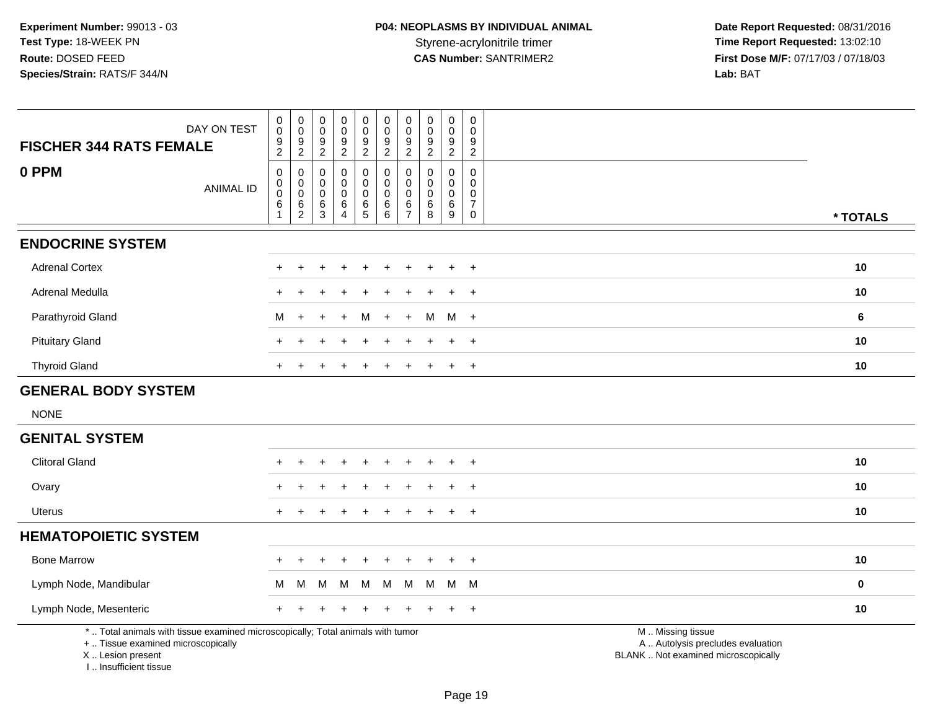| DAY ON TEST<br><b>FISCHER 344 RATS FEMALE</b>                                                                                              | $\pmb{0}$<br>$\mathsf{O}\xspace$<br>9<br>$\overline{2}$       | $\mathbf 0$<br>$\mathbf 0$<br>$\frac{9}{2}$            | $\pmb{0}$<br>$\mathbf 0$<br>9<br>$\overline{2}$ | $\pmb{0}$<br>$\mathsf{O}\xspace$<br>$\frac{9}{2}$                              | 0<br>$\mathbf 0$<br>9<br>$\overline{2}$ | $\pmb{0}$<br>$\pmb{0}$<br>9<br>$\overline{2}$           | $\pmb{0}$<br>$\mathbf 0$<br>9<br>$\overline{c}$ | $\pmb{0}$<br>0<br>$9\,$<br>$\overline{2}$      | $\pmb{0}$<br>$\mathsf{O}\xspace$<br>9<br>$\overline{2}$ | $\mathsf 0$<br>$\mathbf 0$<br>$\frac{9}{2}$                                 |                                                                                               |                |
|--------------------------------------------------------------------------------------------------------------------------------------------|---------------------------------------------------------------|--------------------------------------------------------|-------------------------------------------------|--------------------------------------------------------------------------------|-----------------------------------------|---------------------------------------------------------|-------------------------------------------------|------------------------------------------------|---------------------------------------------------------|-----------------------------------------------------------------------------|-----------------------------------------------------------------------------------------------|----------------|
| 0 PPM<br><b>ANIMAL ID</b>                                                                                                                  | $\mathsf 0$<br>$\mathsf{O}$<br>$\pmb{0}$<br>6<br>$\mathbf{1}$ | 0<br>$\mathbf 0$<br>$\mathsf 0$<br>6<br>$\overline{2}$ | $\mathbf 0$<br>0<br>$\mathbf 0$<br>6<br>3       | $\mathbf 0$<br>$\mathbf 0$<br>$\mathbf 0$<br>$\,6\,$<br>$\boldsymbol{\Lambda}$ | 0<br>0<br>0<br>$\,6$<br>$\overline{5}$  | $\mathbf 0$<br>$\mathbf 0$<br>$\mathbf 0$<br>$\,6$<br>6 | 0<br>0<br>0<br>6<br>$\overline{7}$              | $\Omega$<br>$\Omega$<br>$\Omega$<br>$\,6$<br>8 | $\mathbf 0$<br>$\mathbf 0$<br>0<br>$\,6\,$<br>$9\,$     | $\mathbf 0$<br>$\mathbf{0}$<br>$\mathbf 0$<br>$\overline{7}$<br>$\mathbf 0$ |                                                                                               | * TOTALS       |
| <b>ENDOCRINE SYSTEM</b>                                                                                                                    |                                                               |                                                        |                                                 |                                                                                |                                         |                                                         |                                                 |                                                |                                                         |                                                                             |                                                                                               |                |
| <b>Adrenal Cortex</b>                                                                                                                      |                                                               |                                                        |                                                 |                                                                                |                                         |                                                         |                                                 |                                                | $\div$                                                  | $+$                                                                         |                                                                                               | 10             |
| Adrenal Medulla                                                                                                                            |                                                               |                                                        |                                                 |                                                                                |                                         |                                                         |                                                 |                                                |                                                         | $\ddot{}$                                                                   |                                                                                               | 10             |
| Parathyroid Gland                                                                                                                          | M                                                             | $\ddot{}$                                              |                                                 | $\overline{1}$                                                                 | м                                       |                                                         | $\pm$                                           | м                                              | M +                                                     |                                                                             |                                                                                               | $6\phantom{1}$ |
| <b>Pituitary Gland</b>                                                                                                                     |                                                               |                                                        |                                                 |                                                                                |                                         |                                                         |                                                 |                                                |                                                         | $+$                                                                         |                                                                                               | 10             |
| <b>Thyroid Gland</b>                                                                                                                       |                                                               |                                                        |                                                 |                                                                                |                                         |                                                         |                                                 |                                                | $\mathbf +$                                             | $\ddot{}$                                                                   |                                                                                               | 10             |
| <b>GENERAL BODY SYSTEM</b>                                                                                                                 |                                                               |                                                        |                                                 |                                                                                |                                         |                                                         |                                                 |                                                |                                                         |                                                                             |                                                                                               |                |
| <b>NONE</b>                                                                                                                                |                                                               |                                                        |                                                 |                                                                                |                                         |                                                         |                                                 |                                                |                                                         |                                                                             |                                                                                               |                |
| <b>GENITAL SYSTEM</b>                                                                                                                      |                                                               |                                                        |                                                 |                                                                                |                                         |                                                         |                                                 |                                                |                                                         |                                                                             |                                                                                               |                |
| <b>Clitoral Gland</b>                                                                                                                      |                                                               |                                                        |                                                 |                                                                                |                                         |                                                         |                                                 |                                                |                                                         |                                                                             |                                                                                               | 10             |
| Ovary                                                                                                                                      |                                                               |                                                        |                                                 |                                                                                |                                         |                                                         |                                                 |                                                |                                                         | $\overline{+}$                                                              |                                                                                               | 10             |
| <b>Uterus</b>                                                                                                                              |                                                               |                                                        |                                                 |                                                                                |                                         |                                                         |                                                 |                                                | $\ddot{}$                                               | $+$                                                                         |                                                                                               | 10             |
| <b>HEMATOPOIETIC SYSTEM</b>                                                                                                                |                                                               |                                                        |                                                 |                                                                                |                                         |                                                         |                                                 |                                                |                                                         |                                                                             |                                                                                               |                |
| <b>Bone Marrow</b>                                                                                                                         |                                                               |                                                        |                                                 |                                                                                |                                         |                                                         |                                                 |                                                |                                                         | $\ddot{}$                                                                   |                                                                                               | 10             |
| Lymph Node, Mandibular                                                                                                                     | M                                                             | М                                                      | M                                               | M                                                                              | M                                       | M                                                       | M                                               | м                                              | M M                                                     |                                                                             |                                                                                               | $\mathbf 0$    |
| Lymph Node, Mesenteric                                                                                                                     |                                                               |                                                        |                                                 |                                                                                |                                         |                                                         |                                                 |                                                |                                                         | $+$                                                                         |                                                                                               | 10             |
| *  Total animals with tissue examined microscopically; Total animals with tumor<br>+  Tissue examined microscopically<br>X  Lesion present |                                                               |                                                        |                                                 |                                                                                |                                         |                                                         |                                                 |                                                |                                                         |                                                                             | M  Missing tissue<br>A  Autolysis precludes evaluation<br>BLANK  Not examined microscopically |                |

I .. Insufficient tissue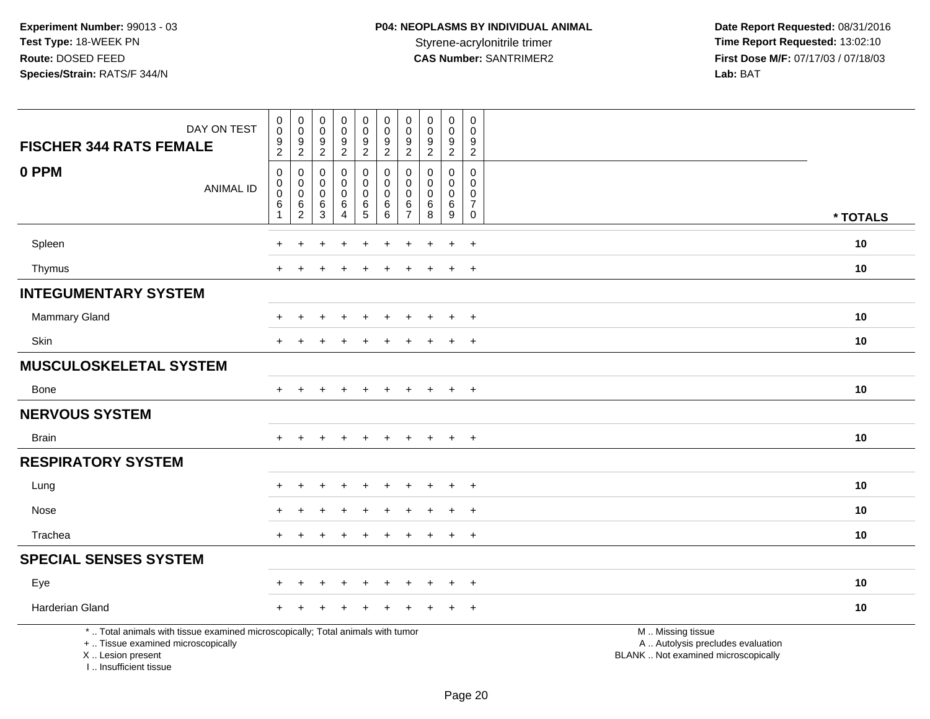**Date Report Requested:** 08/31/2016 **First Dose M/F:** 07/17/03 / 07/18/03<br>Lab: BAT **Lab:** BAT

| DAY ON TEST<br><b>FISCHER 344 RATS FEMALE</b>                                                                                                                       | $\begin{smallmatrix} 0\\0 \end{smallmatrix}$<br>$\frac{9}{2}$        | $\pmb{0}$<br>$\mathbf 0$<br>$\boldsymbol{9}$<br>$\overline{2}$ | $\pmb{0}$<br>$\mathbf 0$<br>$\boldsymbol{9}$<br>$\overline{2}$ | $\begin{smallmatrix}0\0\0\end{smallmatrix}$<br>$\frac{9}{2}$ | $\pmb{0}$<br>$\mathbf 0$<br>$\frac{9}{2}$      | $_{\rm 0}^{\rm 0}$<br>$\frac{9}{2}$ | $\pmb{0}$<br>$\pmb{0}$<br>$\frac{9}{2}$    | $\mathbf 0$<br>$\mathbf 0$<br>$\frac{9}{2}$          | $\pmb{0}$<br>$\mathbf 0$<br>$\frac{9}{2}$  | 0<br>$\mathbf 0$<br>$\frac{9}{2}$                           |                                                                                               |          |
|---------------------------------------------------------------------------------------------------------------------------------------------------------------------|----------------------------------------------------------------------|----------------------------------------------------------------|----------------------------------------------------------------|--------------------------------------------------------------|------------------------------------------------|-------------------------------------|--------------------------------------------|------------------------------------------------------|--------------------------------------------|-------------------------------------------------------------|-----------------------------------------------------------------------------------------------|----------|
| 0 PPM<br><b>ANIMAL ID</b>                                                                                                                                           | $\mathsf{O}\xspace$<br>$\mathsf{O}\xspace$<br>$\mathbf 0$<br>$\,6\,$ | 0<br>$\mathbf 0$<br>$\mathbf 0$<br>$\,6$                       | $\mathbf 0$<br>$\mathbf 0$<br>$\Omega$<br>6                    | 0<br>$\mathbf 0$<br>$\mathbf 0$<br>6                         | $\boldsymbol{0}$<br>$\mathbf 0$<br>$\mathbf 0$ | 0<br>$\pmb{0}$<br>$\mathbf 0$       | 0<br>$\mathbf 0$<br>$\mathbf 0$<br>$\,6\,$ | $\mathbf 0$<br>$\mathbf 0$<br>$\mathbf 0$<br>$\,6\,$ | $\mathbf{0}$<br>$\mathbf 0$<br>$\mathbf 0$ | 0<br>$\mathsf{O}\xspace$<br>$\mathbf 0$<br>$\boldsymbol{7}$ |                                                                                               |          |
|                                                                                                                                                                     | $\overline{1}$                                                       | $\overline{2}$                                                 | 3                                                              | $\overline{4}$                                               | $\frac{6}{5}$                                  | $^6_6$                              | $\overline{7}$                             | 8                                                    | $\frac{6}{9}$                              | $\mathsf 0$                                                 |                                                                                               | * TOTALS |
| Spleen                                                                                                                                                              | +                                                                    | $\ddot{}$                                                      |                                                                | ÷                                                            |                                                |                                     |                                            |                                                      | $\ddot{}$                                  | $\overline{+}$                                              |                                                                                               | 10       |
| Thymus                                                                                                                                                              | $\pm$                                                                | $\div$                                                         |                                                                |                                                              | $\pm$                                          | $\div$                              |                                            | $\div$                                               | $+$                                        | $+$                                                         |                                                                                               | 10       |
| <b>INTEGUMENTARY SYSTEM</b>                                                                                                                                         |                                                                      |                                                                |                                                                |                                                              |                                                |                                     |                                            |                                                      |                                            |                                                             |                                                                                               |          |
| <b>Mammary Gland</b>                                                                                                                                                |                                                                      |                                                                |                                                                |                                                              |                                                |                                     |                                            |                                                      | $\ddot{}$                                  | $+$                                                         |                                                                                               | 10       |
| Skin                                                                                                                                                                |                                                                      |                                                                |                                                                |                                                              |                                                |                                     |                                            |                                                      |                                            | $\overline{+}$                                              |                                                                                               | 10       |
| <b>MUSCULOSKELETAL SYSTEM</b>                                                                                                                                       |                                                                      |                                                                |                                                                |                                                              |                                                |                                     |                                            |                                                      |                                            |                                                             |                                                                                               |          |
| Bone                                                                                                                                                                | $+$                                                                  | $\ddot{}$                                                      |                                                                | $\div$                                                       | $\pm$                                          | $\div$                              |                                            | $\overline{+}$                                       | $+$                                        | $+$                                                         |                                                                                               | 10       |
| <b>NERVOUS SYSTEM</b>                                                                                                                                               |                                                                      |                                                                |                                                                |                                                              |                                                |                                     |                                            |                                                      |                                            |                                                             |                                                                                               |          |
| <b>Brain</b>                                                                                                                                                        | $+$                                                                  | $\ddot{}$                                                      |                                                                | $\ddot{}$                                                    | $\ddot{}$                                      | $\ddot{}$                           | $+$                                        | $+$                                                  | $+$                                        | $+$                                                         |                                                                                               | 10       |
| <b>RESPIRATORY SYSTEM</b>                                                                                                                                           |                                                                      |                                                                |                                                                |                                                              |                                                |                                     |                                            |                                                      |                                            |                                                             |                                                                                               |          |
| Lung                                                                                                                                                                |                                                                      |                                                                |                                                                |                                                              |                                                |                                     |                                            |                                                      | $\ddot{}$                                  | $^{+}$                                                      |                                                                                               | 10       |
| Nose                                                                                                                                                                |                                                                      |                                                                |                                                                |                                                              |                                                |                                     |                                            |                                                      |                                            | $\overline{+}$                                              |                                                                                               | 10       |
| Trachea                                                                                                                                                             | $\ddot{}$                                                            | $\div$                                                         |                                                                |                                                              | ÷                                              |                                     |                                            |                                                      | $\ddot{}$                                  | $+$                                                         |                                                                                               | 10       |
| <b>SPECIAL SENSES SYSTEM</b>                                                                                                                                        |                                                                      |                                                                |                                                                |                                                              |                                                |                                     |                                            |                                                      |                                            |                                                             |                                                                                               |          |
| Eye                                                                                                                                                                 |                                                                      |                                                                |                                                                |                                                              |                                                |                                     |                                            |                                                      |                                            |                                                             |                                                                                               | 10       |
| Harderian Gland                                                                                                                                                     |                                                                      |                                                                |                                                                |                                                              |                                                |                                     |                                            |                                                      |                                            | $\pm$                                                       |                                                                                               | 10       |
| *  Total animals with tissue examined microscopically; Total animals with tumor<br>+  Tissue examined microscopically<br>X  Lesion present<br>I Insufficient tissue |                                                                      |                                                                |                                                                |                                                              |                                                |                                     |                                            |                                                      |                                            |                                                             | M  Missing tissue<br>A  Autolysis precludes evaluation<br>BLANK  Not examined microscopically |          |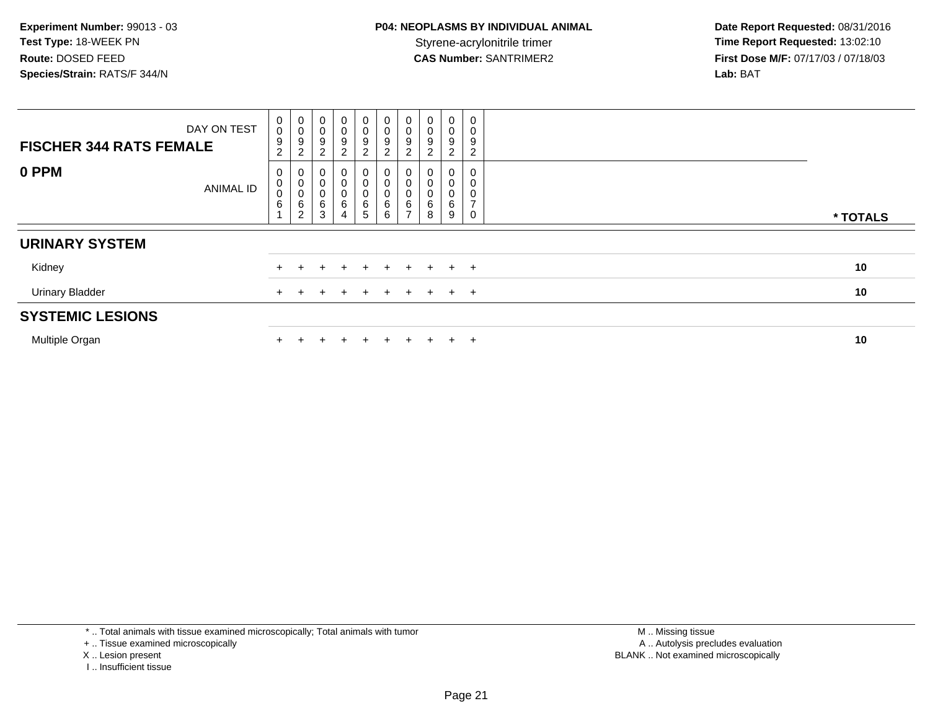| <b>FISCHER 344 RATS FEMALE</b> | DAY ON TEST      | $_{\rm 0}^{\rm 0}$<br>$\boldsymbol{9}$<br>$\overline{c}$ | $\pmb{0}$<br>$\pmb{0}$<br>$\boldsymbol{9}$<br>$\boldsymbol{2}$ | $\boldsymbol{0}$<br>$_{9}^{\rm 0}$<br>$\sqrt{2}$ | $\pmb{0}$<br>$\frac{0}{9}$<br>$\overline{c}$                         | $\begin{smallmatrix} 0\\0 \end{smallmatrix}$<br>$\boldsymbol{9}$<br>$\overline{a}$ | $\pmb{0}$<br>0<br>$\boldsymbol{9}$<br>$\overline{c}$ | $\pmb{0}$<br>$\pmb{0}$<br>$\boldsymbol{9}$<br>$\Omega$<br>∠ | $\pmb{0}$<br>0<br>9<br>$\overline{c}$ | $\boldsymbol{0}$<br>$\pmb{0}$<br>9<br>$\overline{c}$ | 0<br>С<br>9<br>2 |          |
|--------------------------------|------------------|----------------------------------------------------------|----------------------------------------------------------------|--------------------------------------------------|----------------------------------------------------------------------|------------------------------------------------------------------------------------|------------------------------------------------------|-------------------------------------------------------------|---------------------------------------|------------------------------------------------------|------------------|----------|
| 0 PPM                          | <b>ANIMAL ID</b> | 0<br>0<br>0<br>$\,6$<br>$\overline{A}$                   | U<br>$\mathbf 0$<br>0<br>$\,6\,$<br>$\overline{c}$             | 0<br>$\pmb{0}$<br>$\pmb{0}$<br>$\,6\,$<br>3      | $\pmb{0}$<br>$\begin{array}{c} 0 \\ 6 \end{array}$<br>$\overline{4}$ | 0<br>$\pmb{0}$<br>$\begin{matrix}0\\6\\5\end{matrix}$                              | 6<br>6                                               | 0<br>0<br>6<br>⇁                                            | 6<br>8                                | 0<br>0<br>6<br>$\boldsymbol{9}$                      |                  | * TOTALS |
| <b>URINARY SYSTEM</b>          |                  |                                                          |                                                                |                                                  |                                                                      |                                                                                    |                                                      |                                                             |                                       |                                                      |                  |          |
| Kidney                         |                  |                                                          |                                                                |                                                  |                                                                      | $\div$                                                                             | $+$                                                  | ÷                                                           | $+$                                   | $+$                                                  | $+$              | 10       |
| <b>Urinary Bladder</b>         |                  |                                                          |                                                                |                                                  |                                                                      | $\mathbf +$                                                                        | $\pm$                                                |                                                             |                                       | $+$ $+$                                              |                  | 10       |
| <b>SYSTEMIC LESIONS</b>        |                  |                                                          |                                                                |                                                  |                                                                      |                                                                                    |                                                      |                                                             |                                       |                                                      |                  |          |
| Multiple Organ                 |                  |                                                          |                                                                |                                                  |                                                                      | ÷                                                                                  | $+$                                                  |                                                             |                                       | $+$                                                  | $+$              | 10       |

\* .. Total animals with tissue examined microscopically; Total animals with tumor

+ .. Tissue examined microscopically

X .. Lesion present

I .. Insufficient tissue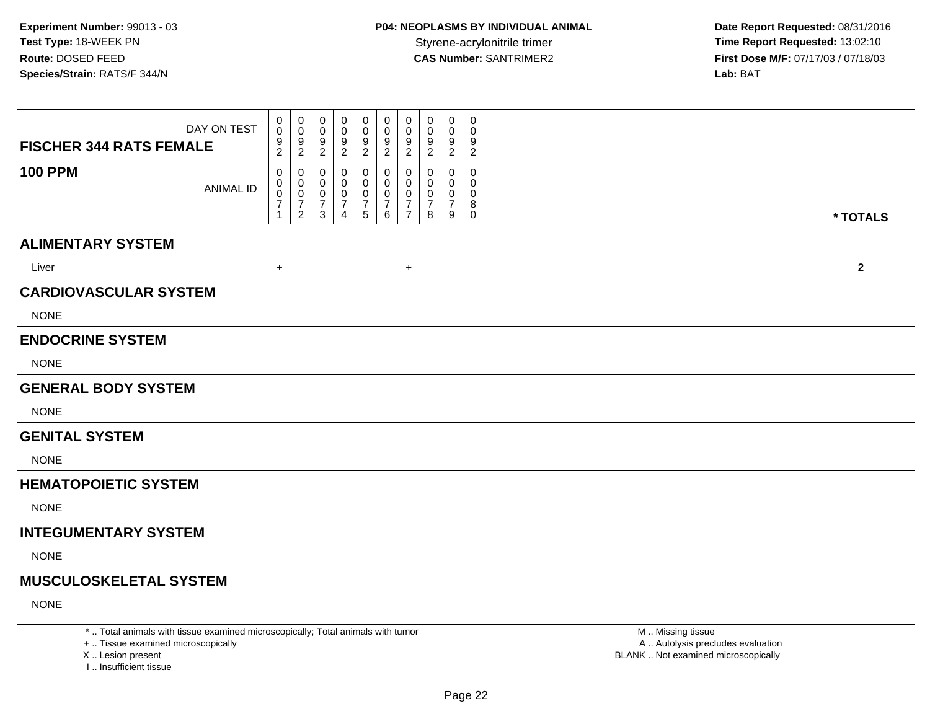**Date Report Requested:** 08/31/2016 **First Dose M/F:** 07/17/03 / 07/18/03<br>Lab: BAT **Lab:** BAT

| <b>FISCHER 344 RATS FEMALE</b> | DAY ON TEST      | 0<br>$\pmb{0}$<br>9<br>$\overline{2}$                 | 0<br>0<br>9<br>$\overline{2}$                                       | 0<br>0<br>9<br>$\overline{2}$    | 0<br>0<br>9<br>$\overline{2}$ | 0<br>0<br>$\frac{9}{2}$                    | 0<br>$\overline{0}$<br>$\frac{9}{2}$                      | 0<br>0<br>9<br>$\overline{2}$                          | 0<br>0<br>9<br>$\boldsymbol{2}$           | 0<br>0<br>9<br>$\overline{2}$                                | 0<br>0<br>9<br>$\overline{2}$                       |  |  |  |  |  |              |  |
|--------------------------------|------------------|-------------------------------------------------------|---------------------------------------------------------------------|----------------------------------|-------------------------------|--------------------------------------------|-----------------------------------------------------------|--------------------------------------------------------|-------------------------------------------|--------------------------------------------------------------|-----------------------------------------------------|--|--|--|--|--|--------------|--|
| <b>100 PPM</b>                 | <b>ANIMAL ID</b> | 0<br>0<br>$\pmb{0}$<br>$\overline{7}$<br>$\mathbf{1}$ | 0<br>$\mathbf 0$<br>$\pmb{0}$<br>$\boldsymbol{7}$<br>$\overline{a}$ | 0<br>0<br>0<br>7<br>$\mathbf{3}$ | 0<br>0<br>0<br>7<br>4         | 0<br>0<br>$\pmb{0}$<br>$\overline{7}$<br>5 | 0<br>0<br>$\mathbf 0$<br>$\overline{7}$<br>$6\phantom{1}$ | 0<br>$\mathbf 0$<br>$\mathbf 0$<br>7<br>$\overline{7}$ | 0<br>$\Omega$<br>0<br>$\overline{7}$<br>8 | 0<br>$\mathbf{0}$<br>0<br>$\overline{7}$<br>$\boldsymbol{9}$ | 0<br>$\mathbf 0$<br>$\mathbf 0$<br>8<br>$\mathbf 0$ |  |  |  |  |  | * TOTALS     |  |
| <b>ALIMENTARY SYSTEM</b>       |                  |                                                       |                                                                     |                                  |                               |                                            |                                                           |                                                        |                                           |                                                              |                                                     |  |  |  |  |  |              |  |
| Liver                          |                  | $\ddot{}$                                             |                                                                     |                                  |                               |                                            |                                                           | $\ddot{}$                                              |                                           |                                                              |                                                     |  |  |  |  |  | $\mathbf{2}$ |  |
| <b>CARDIOVASCULAR SYSTEM</b>   |                  |                                                       |                                                                     |                                  |                               |                                            |                                                           |                                                        |                                           |                                                              |                                                     |  |  |  |  |  |              |  |
| <b>NONE</b>                    |                  |                                                       |                                                                     |                                  |                               |                                            |                                                           |                                                        |                                           |                                                              |                                                     |  |  |  |  |  |              |  |
| <b>ENDOCRINE SYSTEM</b>        |                  |                                                       |                                                                     |                                  |                               |                                            |                                                           |                                                        |                                           |                                                              |                                                     |  |  |  |  |  |              |  |
| <b>NONE</b>                    |                  |                                                       |                                                                     |                                  |                               |                                            |                                                           |                                                        |                                           |                                                              |                                                     |  |  |  |  |  |              |  |
| <b>GENERAL BODY SYSTEM</b>     |                  |                                                       |                                                                     |                                  |                               |                                            |                                                           |                                                        |                                           |                                                              |                                                     |  |  |  |  |  |              |  |
| <b>NONE</b>                    |                  |                                                       |                                                                     |                                  |                               |                                            |                                                           |                                                        |                                           |                                                              |                                                     |  |  |  |  |  |              |  |
| <b>GENITAL SYSTEM</b>          |                  |                                                       |                                                                     |                                  |                               |                                            |                                                           |                                                        |                                           |                                                              |                                                     |  |  |  |  |  |              |  |
| <b>NONE</b>                    |                  |                                                       |                                                                     |                                  |                               |                                            |                                                           |                                                        |                                           |                                                              |                                                     |  |  |  |  |  |              |  |
| <b>HEMATOPOIETIC SYSTEM</b>    |                  |                                                       |                                                                     |                                  |                               |                                            |                                                           |                                                        |                                           |                                                              |                                                     |  |  |  |  |  |              |  |
| <b>NONE</b>                    |                  |                                                       |                                                                     |                                  |                               |                                            |                                                           |                                                        |                                           |                                                              |                                                     |  |  |  |  |  |              |  |
| <b>INTEGUMENTARY SYSTEM</b>    |                  |                                                       |                                                                     |                                  |                               |                                            |                                                           |                                                        |                                           |                                                              |                                                     |  |  |  |  |  |              |  |
| <b>NONE</b>                    |                  |                                                       |                                                                     |                                  |                               |                                            |                                                           |                                                        |                                           |                                                              |                                                     |  |  |  |  |  |              |  |
| <b>MUSCULOSKELETAL SYSTEM</b>  |                  |                                                       |                                                                     |                                  |                               |                                            |                                                           |                                                        |                                           |                                                              |                                                     |  |  |  |  |  |              |  |
| <b>NONE</b>                    |                  |                                                       |                                                                     |                                  |                               |                                            |                                                           |                                                        |                                           |                                                              |                                                     |  |  |  |  |  |              |  |
|                                |                  |                                                       |                                                                     |                                  |                               |                                            |                                                           |                                                        |                                           |                                                              |                                                     |  |  |  |  |  |              |  |

\* .. Total animals with tissue examined microscopically; Total animals with tumor

+ .. Tissue examined microscopically

X .. Lesion present

I .. Insufficient tissue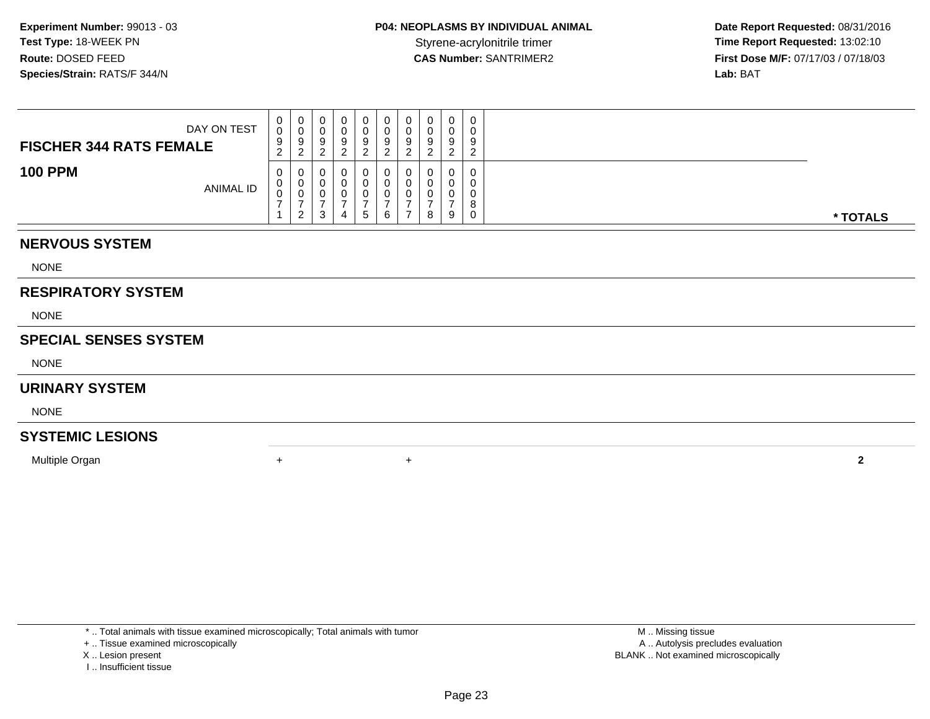| DAY ON TEST<br><b>FISCHER 344 RATS FEMALE</b> | v.<br>$\epsilon$ | 0<br>ັບ<br>9<br>_                   | U<br>◡<br>9      | $\mathbf 0$<br>O | 0<br>0<br>9<br>ົ | Q |   | 0<br>υ<br>9<br>◠ | $\mathbf 0$<br>0<br>9<br>ົ<br><u>_</u> | 0<br>0<br>9<br>$\mathcal{D}$<br><u>_</u> |          |
|-----------------------------------------------|------------------|-------------------------------------|------------------|------------------|------------------|---|---|------------------|----------------------------------------|------------------------------------------|----------|
| <b>100 PPM</b><br><b>ANIMAL ID</b>            | ◡<br>◡<br>◡      | v<br>0<br>v<br>$\Omega$<br><u>_</u> | Ü<br>U<br>Ü<br>3 | 0<br>4           | 0<br>0<br>0<br>G |   | - | U<br>U<br>U<br>8 | 0<br>0<br>$\mathbf 0$<br>-9            | 0<br>0<br>0<br>8<br>$\mathbf 0$          | * TOTALS |

## **NERVOUS SYSTEM**

NONE

#### **RESPIRATORY SYSTEM**

NONE

#### **SPECIAL SENSES SYSTEM**

NONE

#### **URINARY SYSTEM**

NONE

# **SYSTEMIC LESIONS**

Multiple Organn  $+$ 

\* .. Total animals with tissue examined microscopically; Total animals with tumor

+ .. Tissue examined microscopically

X .. Lesion present

I .. Insufficient tissue

 M .. Missing tissuey the contract of the contract of the contract of the contract of the contract of the contract of the contract of  $A$ . Autolysis precludes evaluation Lesion present BLANK .. Not examined microscopically

<sup>+</sup> **<sup>2</sup>**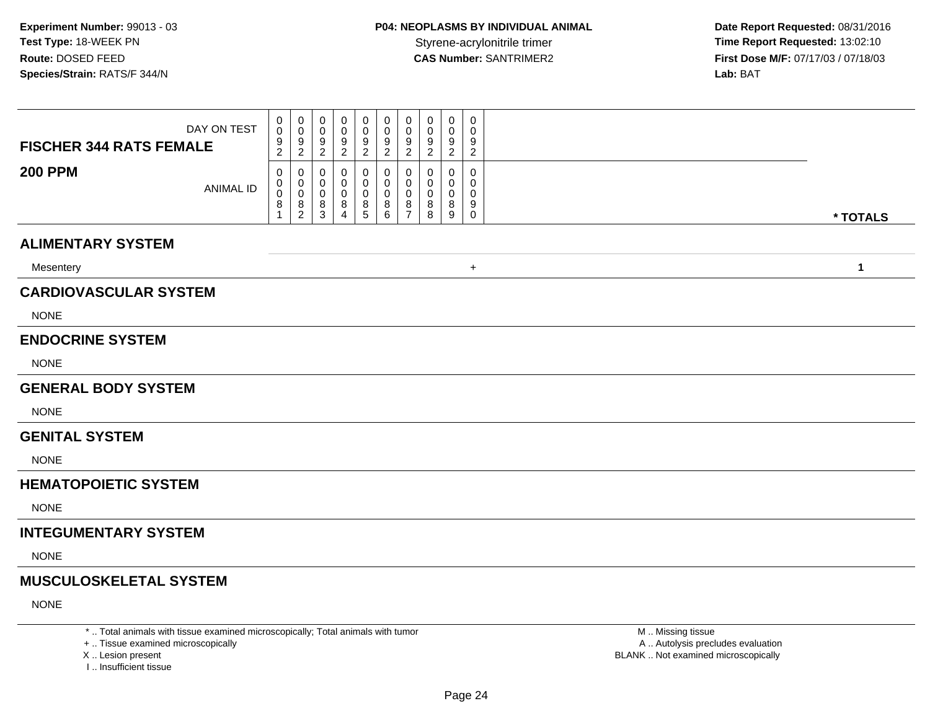**Date Report Requested:** 08/31/2016 **First Dose M/F:** 07/17/03 / 07/18/03<br>Lab: BAT **Lab:** BAT

| <b>FISCHER 344 RATS FEMALE</b> | DAY ON TEST      | 0<br>0<br>$\frac{9}{2}$                  | 0<br>$\mathbf 0$<br>$\frac{9}{2}$                                       | 0<br>0<br>9<br>$\overline{c}$   | 0<br>0<br>9<br>$\overline{c}$      | 0<br>$\mathbf 0$<br>9<br>$\boldsymbol{2}$ | 0<br>0<br>9<br>$\overline{c}$ | 0<br>$\mathbf 0$<br>9<br>$\overline{c}$ | 0<br>0<br>9<br>$\overline{c}$ | 0<br>0<br>9<br>$\overline{c}$ | 0<br>0<br>9<br>$\overline{a}$          |  |              |
|--------------------------------|------------------|------------------------------------------|-------------------------------------------------------------------------|---------------------------------|------------------------------------|-------------------------------------------|-------------------------------|-----------------------------------------|-------------------------------|-------------------------------|----------------------------------------|--|--------------|
| <b>200 PPM</b>                 | <b>ANIMAL ID</b> | 0<br>0<br>$\pmb{0}$<br>8<br>$\mathbf{1}$ | 0<br>0<br>$\mathbf 0$<br>$\begin{smallmatrix} 8 \\ 2 \end{smallmatrix}$ | 0<br>0<br>$\mathbf 0$<br>$^8_3$ | 0<br>0<br>0<br>8<br>$\overline{4}$ | 0<br>0<br>$\pmb{0}$<br>8<br>$\sqrt{5}$    | 0<br>0<br>$\pmb{0}$<br>$^8_6$ | 0<br>0<br>0<br>8<br>$\overline{7}$      | 0<br>0<br>0<br>8<br>8         | 0<br>0<br>0<br>8<br>9         | 0<br>$\Omega$<br>0<br>9<br>$\mathbf 0$ |  | * TOTALS     |
| <b>ALIMENTARY SYSTEM</b>       |                  |                                          |                                                                         |                                 |                                    |                                           |                               |                                         |                               |                               |                                        |  |              |
| Mesentery                      |                  |                                          |                                                                         |                                 |                                    |                                           |                               |                                         |                               |                               | $+$                                    |  | $\mathbf{1}$ |
| <b>CARDIOVASCULAR SYSTEM</b>   |                  |                                          |                                                                         |                                 |                                    |                                           |                               |                                         |                               |                               |                                        |  |              |
| <b>NONE</b>                    |                  |                                          |                                                                         |                                 |                                    |                                           |                               |                                         |                               |                               |                                        |  |              |
| <b>ENDOCRINE SYSTEM</b>        |                  |                                          |                                                                         |                                 |                                    |                                           |                               |                                         |                               |                               |                                        |  |              |
| <b>NONE</b>                    |                  |                                          |                                                                         |                                 |                                    |                                           |                               |                                         |                               |                               |                                        |  |              |
| <b>GENERAL BODY SYSTEM</b>     |                  |                                          |                                                                         |                                 |                                    |                                           |                               |                                         |                               |                               |                                        |  |              |
| <b>NONE</b>                    |                  |                                          |                                                                         |                                 |                                    |                                           |                               |                                         |                               |                               |                                        |  |              |
| <b>GENITAL SYSTEM</b>          |                  |                                          |                                                                         |                                 |                                    |                                           |                               |                                         |                               |                               |                                        |  |              |
| <b>NONE</b>                    |                  |                                          |                                                                         |                                 |                                    |                                           |                               |                                         |                               |                               |                                        |  |              |
| <b>HEMATOPOIETIC SYSTEM</b>    |                  |                                          |                                                                         |                                 |                                    |                                           |                               |                                         |                               |                               |                                        |  |              |
| <b>NONE</b>                    |                  |                                          |                                                                         |                                 |                                    |                                           |                               |                                         |                               |                               |                                        |  |              |
| <b>INTEGUMENTARY SYSTEM</b>    |                  |                                          |                                                                         |                                 |                                    |                                           |                               |                                         |                               |                               |                                        |  |              |
| <b>NONE</b>                    |                  |                                          |                                                                         |                                 |                                    |                                           |                               |                                         |                               |                               |                                        |  |              |
| <b>MUSCULOSKELETAL SYSTEM</b>  |                  |                                          |                                                                         |                                 |                                    |                                           |                               |                                         |                               |                               |                                        |  |              |
| <b>NONE</b>                    |                  |                                          |                                                                         |                                 |                                    |                                           |                               |                                         |                               |                               |                                        |  |              |

\* .. Total animals with tissue examined microscopically; Total animals with tumor

+ .. Tissue examined microscopically

X .. Lesion present

I .. Insufficient tissue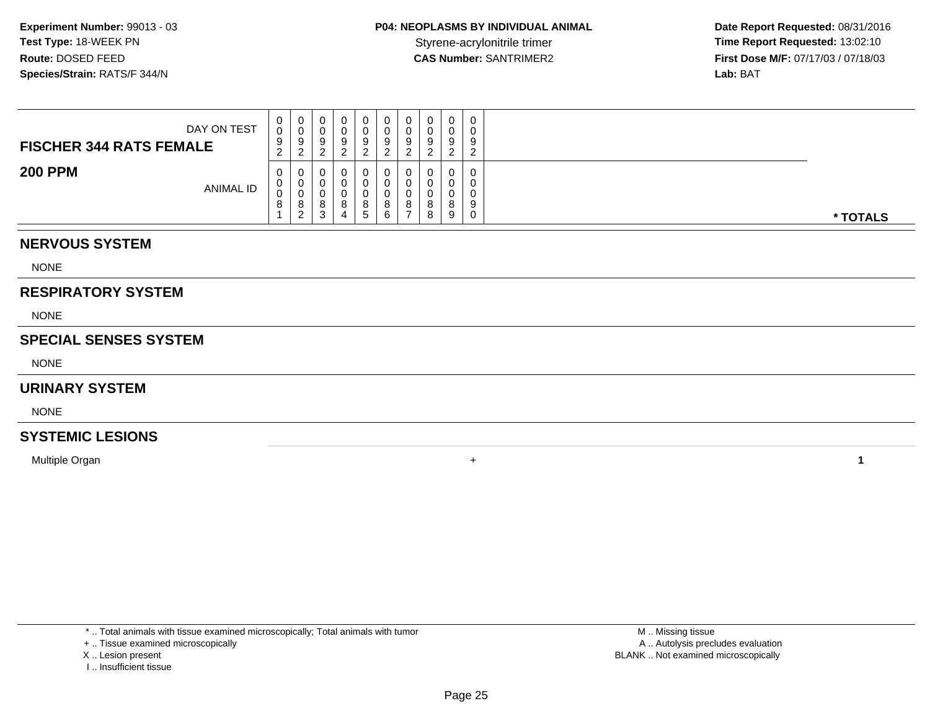**Date Report Requested:** 08/31/2016 Styrene-acrylonitrile trimer<br>
CAS Number: SANTRIMER2<br> **CAS Number:** SANTRIMER2<br> **Time Report Requested:** 13:02:10<br> **First Dose M/F:** 07/17/03 / 07/18/03 **First Dose M/F:** 07/17/03 / 07/18/03<br>**Lab:** BAT **Lab:** BAT

| DAY ON TEST<br><b>FISCHER 344 RATS FEMALE</b> | 0<br>0<br>9<br>$\sim$<br><u>_</u> | v  | v      | ν<br>ч | 0<br>O<br>9<br>റ           | v<br>a | 0<br>0<br>9<br>ົ | a            | $\Omega$ | $\mathbf 0$<br>0<br>9<br>ົ |          |
|-----------------------------------------------|-----------------------------------|----|--------|--------|----------------------------|--------|------------------|--------------|----------|----------------------------|----------|
| <b>200 PPM</b><br><b>ANIMAL ID</b>            | 0<br>0<br>0<br>8                  | ັບ | o<br>د | O      | U<br>O<br>O<br>$5^{\circ}$ | o<br>6 | 0<br>υ<br>0<br>8 | $\circ$<br>8 | a        | 0<br>0<br>0<br>9<br>0      | * TOTALS |

#### **NERVOUS SYSTEM**

NONE

#### **RESPIRATORY SYSTEM**

NONE

#### **SPECIAL SENSES SYSTEM**

NONE

#### **URINARY SYSTEM**

NONE

# **SYSTEMIC LESIONS**

Multiple Organn  $+$ 

\* .. Total animals with tissue examined microscopically; Total animals with tumor

+ .. Tissue examined microscopically

X .. Lesion present

I .. Insufficient tissue

 M .. Missing tissuey the contract of the contract of the contract of the contract of the contract of the contract of the contract of  $A$ . Autolysis precludes evaluation Lesion present BLANK .. Not examined microscopically

**<sup>1</sup>**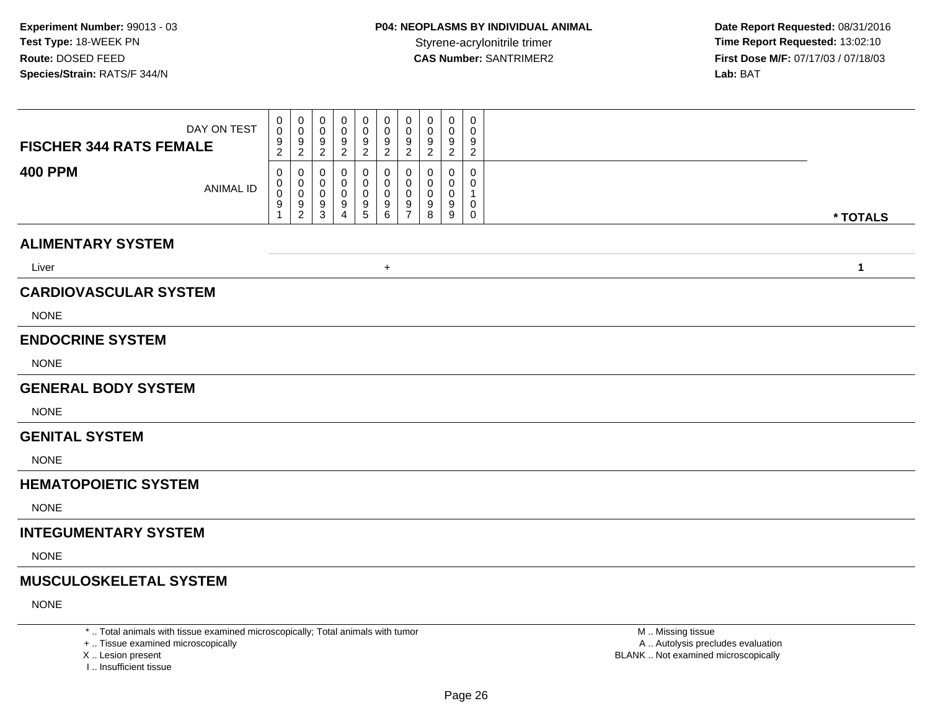**Date Report Requested:** 08/31/2016 **First Dose M/F:** 07/17/03 / 07/18/03<br>Lab: BAT **Lab:** BAT

| <b>FISCHER 344 RATS FEMALE</b> | DAY ON TEST      | 0<br>0<br>$\frac{9}{2}$  | $\mathbf{0}$<br>0<br>$\frac{9}{2}$     | 0<br>0<br>$\frac{9}{2}$          | 0<br>0<br>9<br>$\overline{a}$      | 0<br>$\pmb{0}$<br>$\frac{9}{2}$                      | 0<br>$\mathbf 0$<br>$\frac{9}{2}$                            | 0<br>$\mathbf 0$<br>9<br>$\overline{2}$             | 0<br>$\mathbf 0$<br>9<br>$\overline{\mathbf{c}}$ | 0<br>0<br>9<br>$\overline{a}$ | 0<br>$\mathbf 0$<br>9<br>$\overline{c}$ |              |
|--------------------------------|------------------|--------------------------|----------------------------------------|----------------------------------|------------------------------------|------------------------------------------------------|--------------------------------------------------------------|-----------------------------------------------------|--------------------------------------------------|-------------------------------|-----------------------------------------|--------------|
| <b>400 PPM</b>                 | <b>ANIMAL ID</b> | 0<br>0<br>$\pmb{0}$<br>9 | 0<br>0<br>$\mathbf 0$<br>$\frac{9}{2}$ | 0<br>0<br>0<br>9<br>$\mathbf{3}$ | 0<br>0<br>0<br>9<br>$\overline{4}$ | 0<br>0<br>0<br>$\begin{array}{c} 9 \\ 5 \end{array}$ | 0<br>0<br>$\pmb{0}$<br>$\begin{array}{c} 9 \\ 6 \end{array}$ | 0<br>$\Omega$<br>$\mathbf 0$<br>9<br>$\overline{7}$ | 0<br>0<br>0<br>9<br>8                            | 0<br>0<br>0<br>9<br>9         | 0<br>0<br>1<br>0<br>0                   | * TOTALS     |
| <b>ALIMENTARY SYSTEM</b>       |                  |                          |                                        |                                  |                                    |                                                      |                                                              |                                                     |                                                  |                               |                                         |              |
| Liver                          |                  |                          |                                        |                                  |                                    |                                                      | $\ddot{}$                                                    |                                                     |                                                  |                               |                                         | $\mathbf{1}$ |
| <b>CARDIOVASCULAR SYSTEM</b>   |                  |                          |                                        |                                  |                                    |                                                      |                                                              |                                                     |                                                  |                               |                                         |              |
| <b>NONE</b>                    |                  |                          |                                        |                                  |                                    |                                                      |                                                              |                                                     |                                                  |                               |                                         |              |
| <b>ENDOCRINE SYSTEM</b>        |                  |                          |                                        |                                  |                                    |                                                      |                                                              |                                                     |                                                  |                               |                                         |              |
| <b>NONE</b>                    |                  |                          |                                        |                                  |                                    |                                                      |                                                              |                                                     |                                                  |                               |                                         |              |
| <b>GENERAL BODY SYSTEM</b>     |                  |                          |                                        |                                  |                                    |                                                      |                                                              |                                                     |                                                  |                               |                                         |              |
| <b>NONE</b>                    |                  |                          |                                        |                                  |                                    |                                                      |                                                              |                                                     |                                                  |                               |                                         |              |
| <b>GENITAL SYSTEM</b>          |                  |                          |                                        |                                  |                                    |                                                      |                                                              |                                                     |                                                  |                               |                                         |              |
| <b>NONE</b>                    |                  |                          |                                        |                                  |                                    |                                                      |                                                              |                                                     |                                                  |                               |                                         |              |
| <b>HEMATOPOIETIC SYSTEM</b>    |                  |                          |                                        |                                  |                                    |                                                      |                                                              |                                                     |                                                  |                               |                                         |              |
| <b>NONE</b>                    |                  |                          |                                        |                                  |                                    |                                                      |                                                              |                                                     |                                                  |                               |                                         |              |
| <b>INTEGUMENTARY SYSTEM</b>    |                  |                          |                                        |                                  |                                    |                                                      |                                                              |                                                     |                                                  |                               |                                         |              |
| <b>NONE</b>                    |                  |                          |                                        |                                  |                                    |                                                      |                                                              |                                                     |                                                  |                               |                                         |              |
| <b>MUSCULOSKELETAL SYSTEM</b>  |                  |                          |                                        |                                  |                                    |                                                      |                                                              |                                                     |                                                  |                               |                                         |              |
| <b>NONE</b>                    |                  |                          |                                        |                                  |                                    |                                                      |                                                              |                                                     |                                                  |                               |                                         |              |
|                                |                  |                          |                                        |                                  |                                    |                                                      |                                                              |                                                     |                                                  |                               |                                         |              |

\* .. Total animals with tissue examined microscopically; Total animals with tumor

+ .. Tissue examined microscopically

X .. Lesion present

I .. Insufficient tissue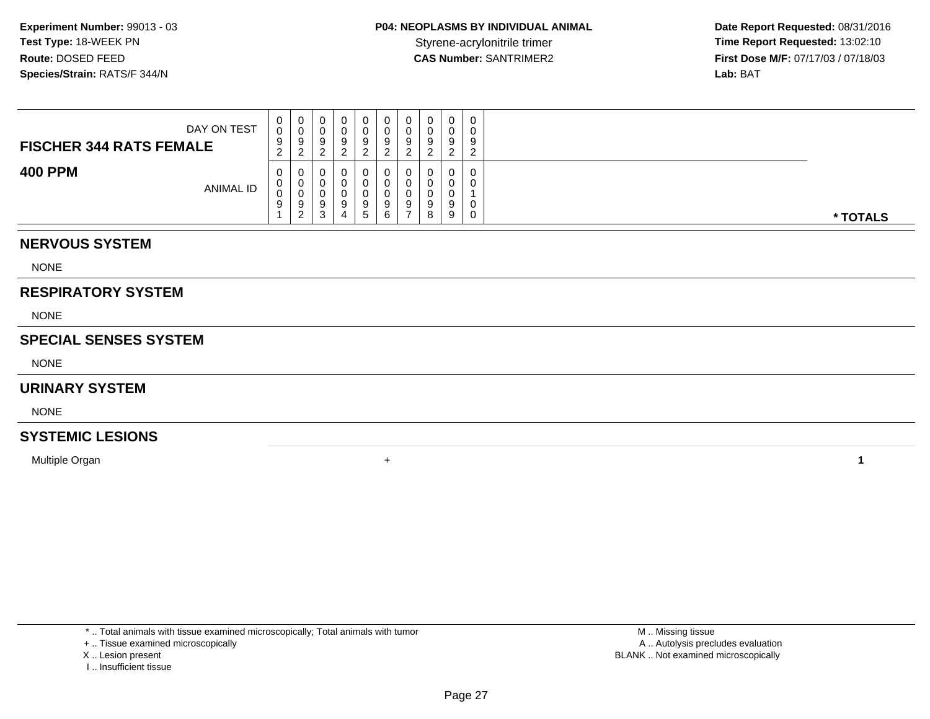**Date Report Requested:** 08/31/2016 Styrene-acrylonitrile trimer<br>
CAS Number: SANTRIMER2<br> **CAS Number:** SANTRIMER2<br> **Time Report Requested:** 13:02:10<br> **First Dose M/F:** 07/17/03 / 07/18/03 **First Dose M/F:** 07/17/03 / 07/18/03<br>**Lab:** BAT **Lab:** BAT

| DAY ON TEST<br><b>FISCHER 344 RATS FEMALE</b> | 0<br>0<br>9<br>$\sim$<br>$\epsilon$ | ◡<br>9           |          | 0<br>U<br>9           | 0<br>0<br>9<br>ົ      | 0<br>υ<br>9                  | 0<br>0<br>9<br>◠      | $\Omega$<br>a | a           |          |
|-----------------------------------------------|-------------------------------------|------------------|----------|-----------------------|-----------------------|------------------------------|-----------------------|---------------|-------------|----------|
| <b>400 PPM</b><br>ANIMAL ID                   | $\overline{0}$<br>0<br>0<br>9       | v<br>◡<br>9<br>າ | $\Omega$ | 0<br>U<br>U<br>9<br>5 | 0<br>U<br>0<br>9<br>6 | 0<br>v<br>9<br>$\rightarrow$ | 0<br>0<br>0<br>9<br>8 | a<br>9        | 0<br>U<br>0 | * TOTALS |

#### **NERVOUS SYSTEM**

NONE

#### **RESPIRATORY SYSTEM**

NONE

#### **SPECIAL SENSES SYSTEM**

NONE

#### **URINARY SYSTEM**

NONE

# **SYSTEMIC LESIONS**

Multiple Organn  $+$ 

\* .. Total animals with tissue examined microscopically; Total animals with tumor

+ .. Tissue examined microscopically

- X .. Lesion present
- I .. Insufficient tissue

 M .. Missing tissuey the contract of the contract of the contract of the contract of the contract of the contract of the contract of  $A$ . Autolysis precludes evaluation Lesion present BLANK .. Not examined microscopically

**<sup>1</sup>**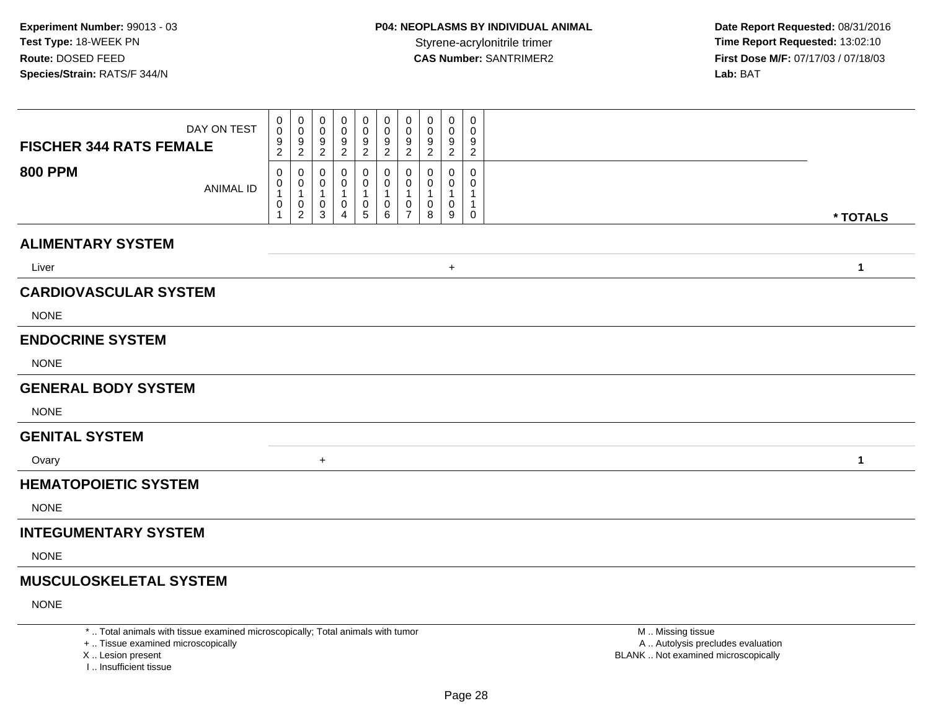**Date Report Requested:** 08/31/2016 **First Dose M/F:** 07/17/03 / 07/18/03<br>Lab: BAT **Lab:** BAT

| DAY ON TEST<br><b>FISCHER 344 RATS FEMALE</b> | 0<br>0<br>$\frac{9}{2}$                     | 0<br>0<br>$\frac{9}{2}$                       | 0<br>0<br>$\frac{9}{2}$                                         | 0<br>0<br>$\frac{9}{2}$ | $\mathbf 0$<br>$\mathbf 0$<br>$\frac{9}{2}$ | 0<br>$\mathbf 0$<br>9<br>$\overline{2}$           | 0<br>$\mathbf 0$<br>$\frac{9}{2}$                       | 0<br>0<br>9<br>$\overline{2}$ | 0<br>0<br>$\frac{9}{2}$          | 0<br>$\Omega$<br>9<br>$\overline{2}$ |              |
|-----------------------------------------------|---------------------------------------------|-----------------------------------------------|-----------------------------------------------------------------|-------------------------|---------------------------------------------|---------------------------------------------------|---------------------------------------------------------|-------------------------------|----------------------------------|--------------------------------------|--------------|
| <b>800 PPM</b><br><b>ANIMAL ID</b>            | 0<br>0<br>$\mathbf{1}$<br>0<br>$\mathbf{1}$ | 0<br>0<br>$\mathbf{1}$<br>0<br>$\overline{2}$ | 0<br>$\mathbf 0$<br>$\mathbf{1}$<br>$\mathbf 0$<br>$\mathbf{3}$ | 0<br>0<br>0<br>4        | 0<br>0<br>1<br>$\pmb{0}$<br>$\sqrt{5}$      | 0<br>0<br>$\overline{\mathbf{1}}$<br>0<br>$\,6\,$ | $\mathbf 0$<br>0<br>$\mathbf{1}$<br>0<br>$\overline{7}$ | 0<br>0<br>0<br>8              | 0<br>0<br>$\mathbf{1}$<br>0<br>9 | $\Omega$<br>0<br>$\mathbf{1}$<br>0   |              |
|                                               |                                             |                                               |                                                                 |                         |                                             |                                                   |                                                         |                               |                                  |                                      | * TOTALS     |
| <b>ALIMENTARY SYSTEM</b>                      |                                             |                                               |                                                                 |                         |                                             |                                                   |                                                         |                               |                                  |                                      |              |
| Liver                                         |                                             |                                               |                                                                 |                         |                                             |                                                   |                                                         |                               | $\ddot{}$                        |                                      | $\mathbf{1}$ |
| <b>CARDIOVASCULAR SYSTEM</b>                  |                                             |                                               |                                                                 |                         |                                             |                                                   |                                                         |                               |                                  |                                      |              |
| <b>NONE</b>                                   |                                             |                                               |                                                                 |                         |                                             |                                                   |                                                         |                               |                                  |                                      |              |
| <b>ENDOCRINE SYSTEM</b>                       |                                             |                                               |                                                                 |                         |                                             |                                                   |                                                         |                               |                                  |                                      |              |
| <b>NONE</b>                                   |                                             |                                               |                                                                 |                         |                                             |                                                   |                                                         |                               |                                  |                                      |              |
| <b>GENERAL BODY SYSTEM</b>                    |                                             |                                               |                                                                 |                         |                                             |                                                   |                                                         |                               |                                  |                                      |              |
| <b>NONE</b>                                   |                                             |                                               |                                                                 |                         |                                             |                                                   |                                                         |                               |                                  |                                      |              |
| <b>GENITAL SYSTEM</b>                         |                                             |                                               |                                                                 |                         |                                             |                                                   |                                                         |                               |                                  |                                      |              |
| Ovary                                         |                                             |                                               | $+$                                                             |                         |                                             |                                                   |                                                         |                               |                                  |                                      | $\mathbf{1}$ |
| <b>HEMATOPOIETIC SYSTEM</b>                   |                                             |                                               |                                                                 |                         |                                             |                                                   |                                                         |                               |                                  |                                      |              |
| <b>NONE</b>                                   |                                             |                                               |                                                                 |                         |                                             |                                                   |                                                         |                               |                                  |                                      |              |
| <b>INTEGUMENTARY SYSTEM</b>                   |                                             |                                               |                                                                 |                         |                                             |                                                   |                                                         |                               |                                  |                                      |              |
| <b>NONE</b>                                   |                                             |                                               |                                                                 |                         |                                             |                                                   |                                                         |                               |                                  |                                      |              |
| <b>MUSCULOSKELETAL SYSTEM</b>                 |                                             |                                               |                                                                 |                         |                                             |                                                   |                                                         |                               |                                  |                                      |              |
| <b>NONE</b>                                   |                                             |                                               |                                                                 |                         |                                             |                                                   |                                                         |                               |                                  |                                      |              |

\* .. Total animals with tissue examined microscopically; Total animals with tumor

+ .. Tissue examined microscopically

X .. Lesion present

I .. Insufficient tissue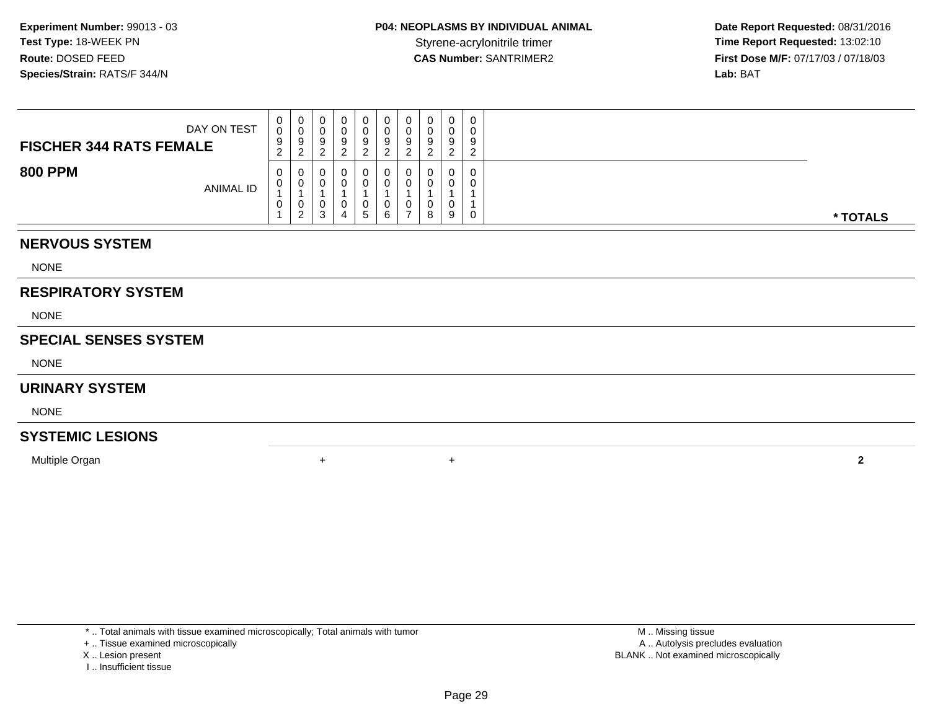**Date Report Requested:** 08/31/2016 Styrene-acrylonitrile trimer<br>
CAS Number: SANTRIMER2<br> **CAS Number:** SANTRIMER2<br> **Time Report Requested:** 13:02:10<br> **First Dose M/F:** 07/17/03 / 07/18/03 **First Dose M/F:** 07/17/03 / 07/18/03<br>**Lab:** BAT **Lab:** BAT

| DAY ON TEST<br><b>FISCHER 344 RATS FEMALE</b> | U<br>$\sim$<br>υ<br>9<br>$\sim$<br>$\epsilon$ | U  | 0<br>v<br>9<br>◠<br>_ | ν<br>9 | 0<br>9<br>ົ                   | 0<br>0<br>9<br>ົ | ◡<br>ν<br>9<br>- 2 |   | 0<br>U<br>9<br>ے      | 0<br>0<br>9<br>ົ<br>∼ |
|-----------------------------------------------|-----------------------------------------------|----|-----------------------|--------|-------------------------------|------------------|--------------------|---|-----------------------|-----------------------|
| <b>800 PPM</b><br><b>ANIMAL ID</b>            | $\mathbf{0}$<br>v<br>J.                       | ົາ | 0<br>0<br>υ<br>3      | U<br>4 | $\mathbf 0$<br>0<br>0<br>. ჯე | 0<br>0<br>0<br>6 | ◡<br>υ             | 8 | $\mathbf 0$<br>0<br>9 | 0<br>0<br>0           |

## **NERVOUS SYSTEM**

NONE

#### **RESPIRATORY SYSTEM**

NONE

#### **SPECIAL SENSES SYSTEM**

NONE

#### **URINARY SYSTEM**

NONE

# **SYSTEMIC LESIONS**

Multiple Organn  $+$ 

\* .. Total animals with tissue examined microscopically; Total animals with tumor

#### + .. Tissue examined microscopically

- X .. Lesion present
- I .. Insufficient tissue

<sup>+</sup> **<sup>2</sup>**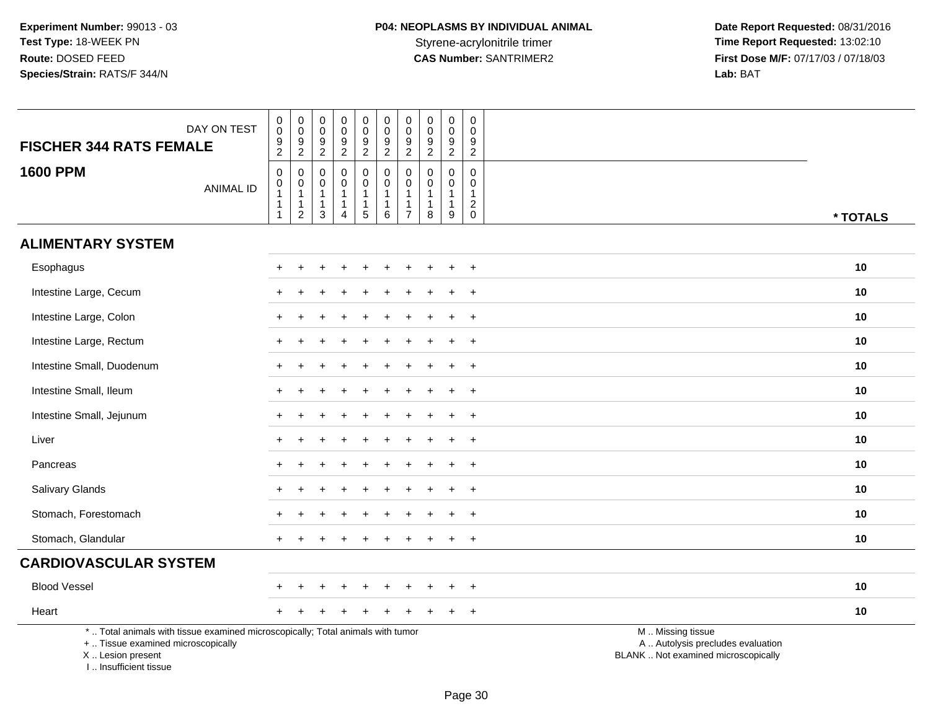| DAY ON TEST<br><b>FISCHER 344 RATS FEMALE</b>                                                                                                                        | $\mathbf 0$<br>0<br>$\boldsymbol{9}$<br>$\overline{2}$ | $\mathsf{O}\xspace$<br>$\overline{0}$<br>$\frac{9}{2}$               | $\boldsymbol{0}$<br>$\mathbf 0$<br>$9\,$<br>$\boldsymbol{2}$              | $\pmb{0}$<br>0<br>$\boldsymbol{9}$<br>$\overline{c}$                         | $\pmb{0}$<br>$\mathbf 0$<br>$\overline{9}$<br>$\overline{2}$                 | $\pmb{0}$<br>$\mathbf 0$<br>$\frac{9}{2}$                                | $\pmb{0}$<br>$\mathbf 0$<br>$\boldsymbol{9}$<br>$\overline{2}$                 | $\mathsf{O}\xspace$<br>$\mathbf 0$<br>9<br>$\overline{2}$ | $\pmb{0}$<br>$\mathbf 0$<br>$9\,$<br>$\overline{2}$             | $\mathbf 0$<br>$\mathbf 0$<br>9<br>$\overline{c}$             |                                                                                               |
|----------------------------------------------------------------------------------------------------------------------------------------------------------------------|--------------------------------------------------------|----------------------------------------------------------------------|---------------------------------------------------------------------------|------------------------------------------------------------------------------|------------------------------------------------------------------------------|--------------------------------------------------------------------------|--------------------------------------------------------------------------------|-----------------------------------------------------------|-----------------------------------------------------------------|---------------------------------------------------------------|-----------------------------------------------------------------------------------------------|
| <b>1600 PPM</b><br><b>ANIMAL ID</b>                                                                                                                                  | $\mathbf 0$<br>$\mathbf 0$<br>1<br>1<br>$\mathbf{1}$   | $\pmb{0}$<br>$\overline{0}$<br>1<br>$\overline{1}$<br>$\overline{2}$ | $\mathbf 0$<br>$\mathbf 0$<br>$\mathbf{1}$<br>$\mathbf{1}$<br>$\mathsf 3$ | $\mathbf 0$<br>$\mathbf 0$<br>$\mathbf{1}$<br>$\mathbf{1}$<br>$\overline{4}$ | $\boldsymbol{0}$<br>$\mathsf{O}\xspace$<br>$\mathbf{1}$<br>$\mathbf{1}$<br>5 | $\pmb{0}$<br>$\pmb{0}$<br>$\mathbf{1}$<br>$\mathbf{1}$<br>$6\phantom{1}$ | $\mathbf 0$<br>$\pmb{0}$<br>$\overline{1}$<br>$\overline{1}$<br>$\overline{7}$ | $\Omega$<br>$\mathbf 0$<br>$\overline{1}$<br>1<br>8       | $\mathbf 0$<br>$\mathbf 0$<br>$\mathbf{1}$<br>$\mathbf{1}$<br>9 | $\Omega$<br>$\mathbf 0$<br>1<br>$\overline{a}$<br>$\mathbf 0$ | * TOTALS                                                                                      |
| <b>ALIMENTARY SYSTEM</b>                                                                                                                                             |                                                        |                                                                      |                                                                           |                                                                              |                                                                              |                                                                          |                                                                                |                                                           |                                                                 |                                                               |                                                                                               |
| Esophagus                                                                                                                                                            |                                                        |                                                                      |                                                                           |                                                                              |                                                                              |                                                                          |                                                                                |                                                           |                                                                 | $\overline{ }$                                                | 10                                                                                            |
| Intestine Large, Cecum                                                                                                                                               |                                                        |                                                                      |                                                                           |                                                                              |                                                                              |                                                                          |                                                                                |                                                           |                                                                 | $\overline{1}$                                                | 10                                                                                            |
| Intestine Large, Colon                                                                                                                                               |                                                        |                                                                      |                                                                           |                                                                              |                                                                              |                                                                          |                                                                                |                                                           |                                                                 | $+$                                                           | 10                                                                                            |
| Intestine Large, Rectum                                                                                                                                              |                                                        |                                                                      |                                                                           |                                                                              |                                                                              |                                                                          |                                                                                |                                                           | ÷                                                               | $+$                                                           | 10                                                                                            |
| Intestine Small, Duodenum                                                                                                                                            |                                                        |                                                                      |                                                                           |                                                                              |                                                                              |                                                                          |                                                                                |                                                           |                                                                 | $\ddot{}$                                                     | 10                                                                                            |
| Intestine Small, Ileum                                                                                                                                               |                                                        |                                                                      |                                                                           |                                                                              |                                                                              |                                                                          |                                                                                |                                                           |                                                                 | $\ddot{}$                                                     | 10                                                                                            |
| Intestine Small, Jejunum                                                                                                                                             |                                                        |                                                                      |                                                                           |                                                                              |                                                                              |                                                                          |                                                                                |                                                           |                                                                 | $+$                                                           | 10                                                                                            |
| Liver                                                                                                                                                                |                                                        |                                                                      |                                                                           |                                                                              |                                                                              |                                                                          |                                                                                |                                                           |                                                                 | $\overline{ }$                                                | 10                                                                                            |
| Pancreas                                                                                                                                                             |                                                        |                                                                      |                                                                           |                                                                              |                                                                              |                                                                          |                                                                                |                                                           |                                                                 | $\overline{+}$                                                | 10                                                                                            |
| Salivary Glands                                                                                                                                                      |                                                        |                                                                      |                                                                           |                                                                              |                                                                              |                                                                          |                                                                                |                                                           |                                                                 | $^{+}$                                                        | 10                                                                                            |
| Stomach, Forestomach                                                                                                                                                 |                                                        |                                                                      |                                                                           |                                                                              |                                                                              |                                                                          |                                                                                |                                                           |                                                                 | $\ddot{}$                                                     | 10                                                                                            |
| Stomach, Glandular                                                                                                                                                   |                                                        |                                                                      |                                                                           |                                                                              |                                                                              |                                                                          |                                                                                |                                                           |                                                                 | $\ddot{}$                                                     | 10                                                                                            |
| <b>CARDIOVASCULAR SYSTEM</b>                                                                                                                                         |                                                        |                                                                      |                                                                           |                                                                              |                                                                              |                                                                          |                                                                                |                                                           |                                                                 |                                                               |                                                                                               |
| <b>Blood Vessel</b>                                                                                                                                                  |                                                        |                                                                      |                                                                           |                                                                              |                                                                              |                                                                          |                                                                                |                                                           |                                                                 | $^{+}$                                                        | 10                                                                                            |
| Heart                                                                                                                                                                |                                                        |                                                                      |                                                                           |                                                                              |                                                                              |                                                                          |                                                                                |                                                           |                                                                 | $\overline{+}$                                                | 10                                                                                            |
| *  Total animals with tissue examined microscopically; Total animals with tumor<br>+  Tissue examined microscopically<br>X  Lesion present<br>I  Insufficient tissue |                                                        |                                                                      |                                                                           |                                                                              |                                                                              |                                                                          |                                                                                |                                                           |                                                                 |                                                               | M  Missing tissue<br>A  Autolysis precludes evaluation<br>BLANK  Not examined microscopically |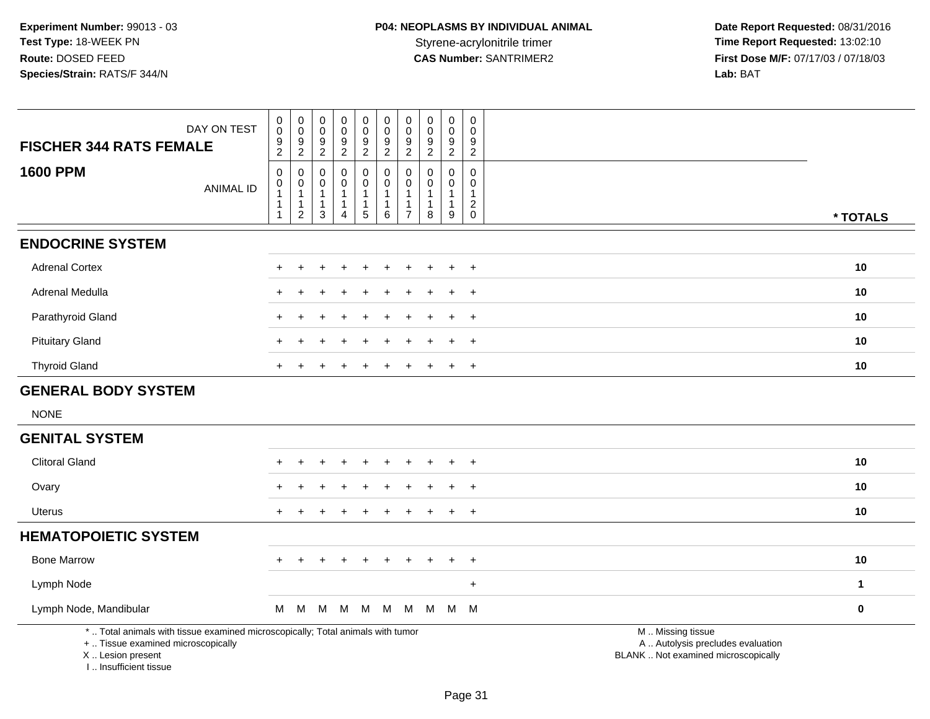| DAY ON TEST<br><b>FISCHER 344 RATS FEMALE</b>                                                                         | $_{\rm 0}^{\rm 0}$<br>$\frac{9}{2}$                         | $\pmb{0}$<br>$\pmb{0}$<br>$\frac{9}{2}$                                | 0<br>0<br>$\frac{9}{2}$                     | $\pmb{0}$<br>$\mathbf 0$<br>$\frac{9}{2}$               | $\pmb{0}$<br>$\mathbf 0$<br>$\frac{9}{2}$        | $\mathbf 0$<br>$\mathbf 0$<br>9<br>$\overline{2}$             | $\pmb{0}$<br>$\mathsf{O}\xspace$<br>9<br>$\overline{2}$ | $\pmb{0}$<br>0<br>9<br>$\overline{2}$ | $\pmb{0}$<br>$\pmb{0}$<br>$\boldsymbol{9}$<br>$\overline{2}$    | 0<br>$\mathbf 0$<br>9<br>$\overline{2}$                       |                                                        |              |  |  |
|-----------------------------------------------------------------------------------------------------------------------|-------------------------------------------------------------|------------------------------------------------------------------------|---------------------------------------------|---------------------------------------------------------|--------------------------------------------------|---------------------------------------------------------------|---------------------------------------------------------|---------------------------------------|-----------------------------------------------------------------|---------------------------------------------------------------|--------------------------------------------------------|--------------|--|--|
| <b>1600 PPM</b><br><b>ANIMAL ID</b>                                                                                   | $\pmb{0}$<br>$\pmb{0}$<br>$\mathbf{1}$<br>$\mathbf{1}$<br>1 | $\boldsymbol{0}$<br>$\mathbf 0$<br>1<br>$\mathbf{1}$<br>$\overline{c}$ | 0<br>$\mathbf 0$<br>-1<br>$\mathbf{1}$<br>3 | 0<br>$\mathbf 0$<br>1<br>$\mathbf{1}$<br>$\overline{4}$ | 0<br>$\mathsf{O}\xspace$<br>1<br>1<br>$\sqrt{5}$ | 0<br>$\mathsf{O}\xspace$<br>$\mathbf{1}$<br>$\mathbf{1}$<br>6 | 0<br>$\mathbf 0$<br>1<br>1<br>$\overline{7}$            | $\Omega$<br>$\Omega$<br>-1<br>8       | $\mathbf 0$<br>$\mathbf 0$<br>$\mathbf{1}$<br>$\mathbf{1}$<br>9 | 0<br>$\mathbf 0$<br>$\overline{1}$<br>$\sqrt{2}$<br>$\pmb{0}$ |                                                        | * TOTALS     |  |  |
| <b>ENDOCRINE SYSTEM</b>                                                                                               |                                                             |                                                                        |                                             |                                                         |                                                  |                                                               |                                                         |                                       |                                                                 |                                                               |                                                        |              |  |  |
| <b>Adrenal Cortex</b>                                                                                                 |                                                             |                                                                        |                                             |                                                         |                                                  |                                                               |                                                         |                                       |                                                                 | $+$                                                           |                                                        | 10           |  |  |
| Adrenal Medulla                                                                                                       |                                                             |                                                                        |                                             |                                                         |                                                  |                                                               |                                                         |                                       |                                                                 | $\overline{+}$                                                |                                                        | 10           |  |  |
| Parathyroid Gland                                                                                                     | $\pm$                                                       |                                                                        |                                             |                                                         |                                                  |                                                               |                                                         |                                       | $\ddot{}$                                                       | $+$                                                           |                                                        | 10           |  |  |
| <b>Pituitary Gland</b>                                                                                                |                                                             |                                                                        |                                             |                                                         |                                                  |                                                               |                                                         |                                       |                                                                 | $\div$                                                        |                                                        | 10           |  |  |
| <b>Thyroid Gland</b>                                                                                                  |                                                             |                                                                        |                                             |                                                         |                                                  |                                                               |                                                         |                                       |                                                                 | $\ddot{}$                                                     |                                                        | 10           |  |  |
| <b>GENERAL BODY SYSTEM</b>                                                                                            |                                                             |                                                                        |                                             |                                                         |                                                  |                                                               |                                                         |                                       |                                                                 |                                                               |                                                        |              |  |  |
| <b>NONE</b>                                                                                                           |                                                             |                                                                        |                                             |                                                         |                                                  |                                                               |                                                         |                                       |                                                                 |                                                               |                                                        |              |  |  |
| <b>GENITAL SYSTEM</b>                                                                                                 |                                                             |                                                                        |                                             |                                                         |                                                  |                                                               |                                                         |                                       |                                                                 |                                                               |                                                        |              |  |  |
| <b>Clitoral Gland</b>                                                                                                 |                                                             |                                                                        |                                             |                                                         |                                                  |                                                               |                                                         |                                       |                                                                 | $\overline{+}$                                                |                                                        | 10           |  |  |
| Ovary                                                                                                                 |                                                             |                                                                        |                                             |                                                         |                                                  |                                                               |                                                         |                                       |                                                                 | $\overline{+}$                                                |                                                        | 10           |  |  |
| Uterus                                                                                                                | $+$                                                         |                                                                        |                                             |                                                         |                                                  |                                                               |                                                         |                                       | $\ddot{}$                                                       | $+$                                                           |                                                        | 10           |  |  |
| <b>HEMATOPOIETIC SYSTEM</b>                                                                                           |                                                             |                                                                        |                                             |                                                         |                                                  |                                                               |                                                         |                                       |                                                                 |                                                               |                                                        |              |  |  |
| <b>Bone Marrow</b>                                                                                                    |                                                             | $\div$                                                                 |                                             |                                                         |                                                  |                                                               |                                                         |                                       |                                                                 | $+$                                                           |                                                        | 10           |  |  |
| Lymph Node                                                                                                            |                                                             |                                                                        |                                             |                                                         |                                                  |                                                               |                                                         |                                       |                                                                 | $\ddot{}$                                                     |                                                        | $\mathbf{1}$ |  |  |
| Lymph Node, Mandibular                                                                                                | M                                                           | M                                                                      | м                                           | м                                                       | M                                                | M                                                             | M                                                       | M                                     | M M                                                             |                                                               |                                                        | $\bf{0}$     |  |  |
| *  Total animals with tissue examined microscopically; Total animals with tumor<br>+  Tissue examined microscopically |                                                             |                                                                        |                                             |                                                         |                                                  |                                                               |                                                         |                                       |                                                                 |                                                               | M  Missing tissue<br>A  Autolysis precludes evaluation |              |  |  |

X .. Lesion present

I .. Insufficient tissue

Lesion present BLANK .. Not examined microscopically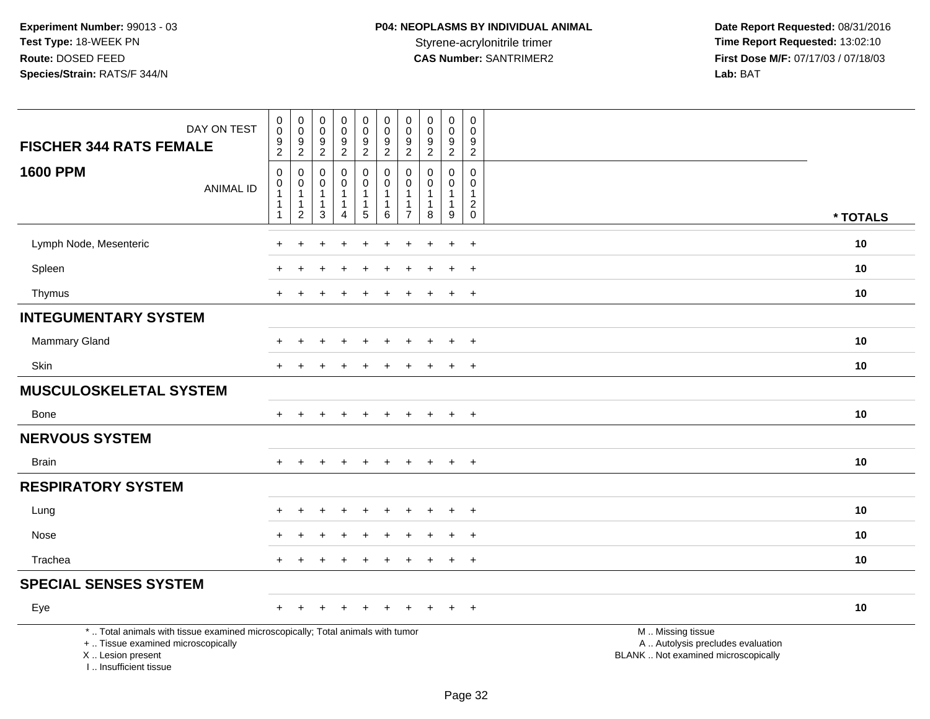| DAY ON TEST<br><b>FISCHER 344 RATS FEMALE</b>                                                                                                                       | $\begin{smallmatrix}0\\0\end{smallmatrix}$<br>$\boldsymbol{9}$<br>$\sqrt{2}$ | $_{\rm 0}^{\rm 0}$<br>9<br>$\overline{c}$               | $\pmb{0}$<br>$\mathbf 0$<br>9<br>$\boldsymbol{2}$  | $\pmb{0}$<br>$\frac{0}{9}$                                                  | $\begin{array}{c} 0 \\ 0 \\ 9 \\ 2 \end{array}$                     | $\pmb{0}$<br>$\pmb{0}$<br>9<br>$\overline{c}$                                     | $\pmb{0}$<br>$\mathbf 0$<br>9<br>$\overline{c}$ | $\pmb{0}$<br>$\mathbf 0$<br>9<br>$\overline{c}$ | $\mathbf 0$<br>$\mathbf 0$<br>$\boldsymbol{9}$<br>$\overline{2}$  | $\pmb{0}$<br>$\mathbf 0$<br>9<br>$\overline{2}$         |                                                                                               |
|---------------------------------------------------------------------------------------------------------------------------------------------------------------------|------------------------------------------------------------------------------|---------------------------------------------------------|----------------------------------------------------|-----------------------------------------------------------------------------|---------------------------------------------------------------------|-----------------------------------------------------------------------------------|-------------------------------------------------|-------------------------------------------------|-------------------------------------------------------------------|---------------------------------------------------------|-----------------------------------------------------------------------------------------------|
| <b>1600 PPM</b><br><b>ANIMAL ID</b>                                                                                                                                 | $\mathbf 0$<br>$\,0\,$<br>$\mathbf{1}$<br>$\mathbf 1$<br>$\mathbf{1}$        | 0<br>0<br>$\mathbf{1}$<br>$\mathbf 1$<br>$\overline{c}$ | $\Omega$<br>0<br>$\mathbf{1}$<br>$\mathbf{1}$<br>3 | $\mathbf 0$<br>$\mathbf 0$<br>$\mathbf{1}$<br>$\mathbf 1$<br>$\overline{4}$ | $\mathbf 0$<br>$\mathbf 0$<br>$\mathbf{1}$<br>$\mathbf{1}$<br>$5\,$ | $\mathbf 0$<br>$\mathbf 0$<br>$\overline{1}$<br>$\overline{1}$<br>$6\phantom{1}6$ | $\Omega$<br>0<br>-1<br>$\overline{7}$           | $\Omega$<br>$\Omega$<br>$\mathbf{1}$<br>1<br>8  | $\Omega$<br>0<br>$\mathbf{1}$<br>$\mathbf{1}$<br>$\boldsymbol{9}$ | $\Omega$<br>$\mathbf 0$<br>$\mathbf{1}$<br>$^2_{\rm 0}$ | * TOTALS                                                                                      |
| Lymph Node, Mesenteric                                                                                                                                              |                                                                              |                                                         |                                                    |                                                                             |                                                                     |                                                                                   |                                                 |                                                 |                                                                   | $\ddot{}$                                               | 10                                                                                            |
| Spleen                                                                                                                                                              |                                                                              |                                                         |                                                    |                                                                             |                                                                     |                                                                                   |                                                 |                                                 |                                                                   | $\ddot{}$                                               | 10                                                                                            |
| Thymus                                                                                                                                                              | $\pm$                                                                        |                                                         |                                                    |                                                                             |                                                                     |                                                                                   |                                                 |                                                 | $\ddot{}$                                                         | $+$                                                     | 10                                                                                            |
| <b>INTEGUMENTARY SYSTEM</b>                                                                                                                                         |                                                                              |                                                         |                                                    |                                                                             |                                                                     |                                                                                   |                                                 |                                                 |                                                                   |                                                         |                                                                                               |
| <b>Mammary Gland</b>                                                                                                                                                |                                                                              |                                                         |                                                    |                                                                             |                                                                     |                                                                                   |                                                 |                                                 | $\div$                                                            | $+$                                                     | 10                                                                                            |
| <b>Skin</b>                                                                                                                                                         |                                                                              |                                                         |                                                    |                                                                             |                                                                     |                                                                                   |                                                 |                                                 | $\pm$                                                             | $\overline{+}$                                          | 10                                                                                            |
| <b>MUSCULOSKELETAL SYSTEM</b>                                                                                                                                       |                                                                              |                                                         |                                                    |                                                                             |                                                                     |                                                                                   |                                                 |                                                 |                                                                   |                                                         |                                                                                               |
| <b>Bone</b>                                                                                                                                                         | $+$                                                                          | $+$                                                     | $\pm$                                              | $+$                                                                         | $+$                                                                 | $+$                                                                               | $+$                                             | $\pm$                                           | $+$                                                               | $+$                                                     | 10                                                                                            |
| <b>NERVOUS SYSTEM</b>                                                                                                                                               |                                                                              |                                                         |                                                    |                                                                             |                                                                     |                                                                                   |                                                 |                                                 |                                                                   |                                                         |                                                                                               |
| <b>Brain</b>                                                                                                                                                        |                                                                              |                                                         |                                                    |                                                                             |                                                                     |                                                                                   |                                                 |                                                 | $\ddot{}$                                                         | $+$                                                     | 10                                                                                            |
| <b>RESPIRATORY SYSTEM</b>                                                                                                                                           |                                                                              |                                                         |                                                    |                                                                             |                                                                     |                                                                                   |                                                 |                                                 |                                                                   |                                                         |                                                                                               |
| Lung                                                                                                                                                                |                                                                              |                                                         |                                                    |                                                                             |                                                                     |                                                                                   |                                                 |                                                 |                                                                   | $^+$                                                    | 10                                                                                            |
| Nose                                                                                                                                                                |                                                                              |                                                         |                                                    |                                                                             |                                                                     |                                                                                   |                                                 |                                                 | $\ddot{}$                                                         | $+$                                                     | 10                                                                                            |
| Trachea                                                                                                                                                             | $\ddot{}$                                                                    |                                                         |                                                    |                                                                             |                                                                     |                                                                                   |                                                 |                                                 | $\ddot{}$                                                         | $+$                                                     | 10                                                                                            |
| <b>SPECIAL SENSES SYSTEM</b>                                                                                                                                        |                                                                              |                                                         |                                                    |                                                                             |                                                                     |                                                                                   |                                                 |                                                 |                                                                   |                                                         |                                                                                               |
| Eye                                                                                                                                                                 | $\pm$                                                                        |                                                         |                                                    |                                                                             |                                                                     |                                                                                   |                                                 |                                                 | $\ddot{}$                                                         | $+$                                                     | 10                                                                                            |
| *  Total animals with tissue examined microscopically; Total animals with tumor<br>+  Tissue examined microscopically<br>X  Lesion present<br>I Insufficient tissue |                                                                              |                                                         |                                                    |                                                                             |                                                                     |                                                                                   |                                                 |                                                 |                                                                   |                                                         | M  Missing tissue<br>A  Autolysis precludes evaluation<br>BLANK  Not examined microscopically |